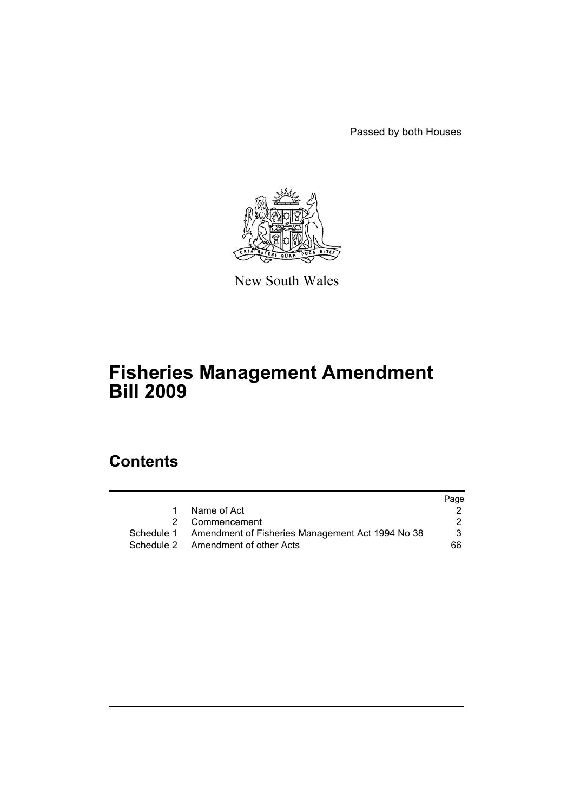Passed by both Houses



New South Wales

# **Fisheries Management Amendment Bill 2009**

# **Contents**

|   |                                                             | Page |
|---|-------------------------------------------------------------|------|
| 1 | Name of Act                                                 |      |
|   | 2 Commencement                                              |      |
|   | Schedule 1 Amendment of Fisheries Management Act 1994 No 38 | 3    |
|   | Schedule 2 Amendment of other Acts                          | 66   |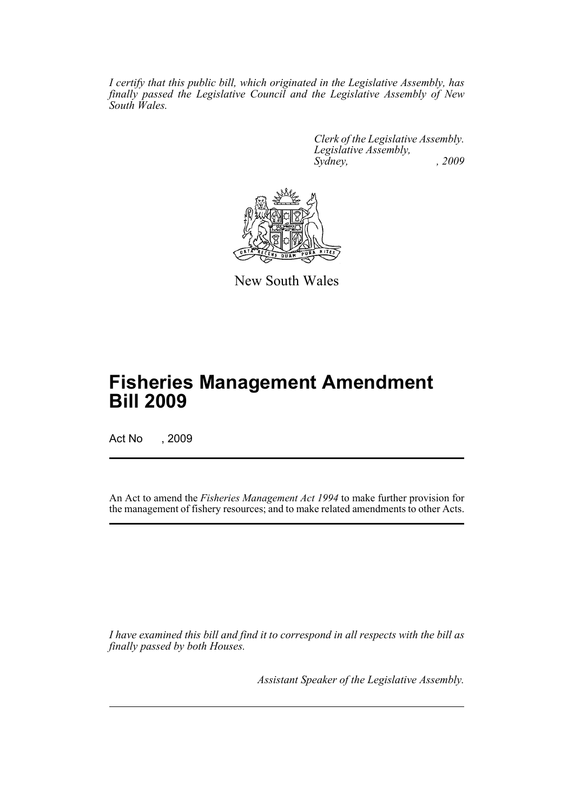*I certify that this public bill, which originated in the Legislative Assembly, has finally passed the Legislative Council and the Legislative Assembly of New South Wales.*

> *Clerk of the Legislative Assembly. Legislative Assembly, Sydney, , 2009*



New South Wales

# **Fisheries Management Amendment Bill 2009**

Act No , 2009

An Act to amend the *Fisheries Management Act 1994* to make further provision for the management of fishery resources; and to make related amendments to other Acts.

*I have examined this bill and find it to correspond in all respects with the bill as finally passed by both Houses.*

*Assistant Speaker of the Legislative Assembly.*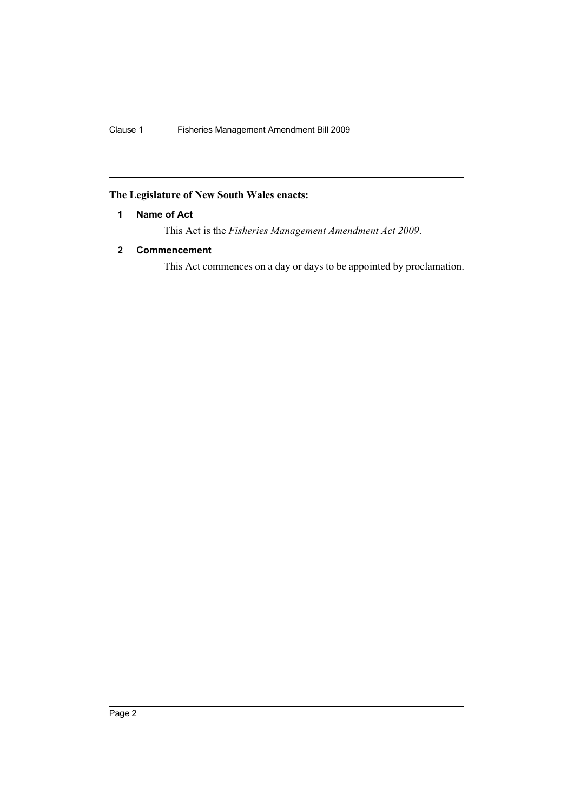# <span id="page-3-0"></span>**The Legislature of New South Wales enacts:**

# **1 Name of Act**

This Act is the *Fisheries Management Amendment Act 2009*.

# <span id="page-3-1"></span>**2 Commencement**

This Act commences on a day or days to be appointed by proclamation.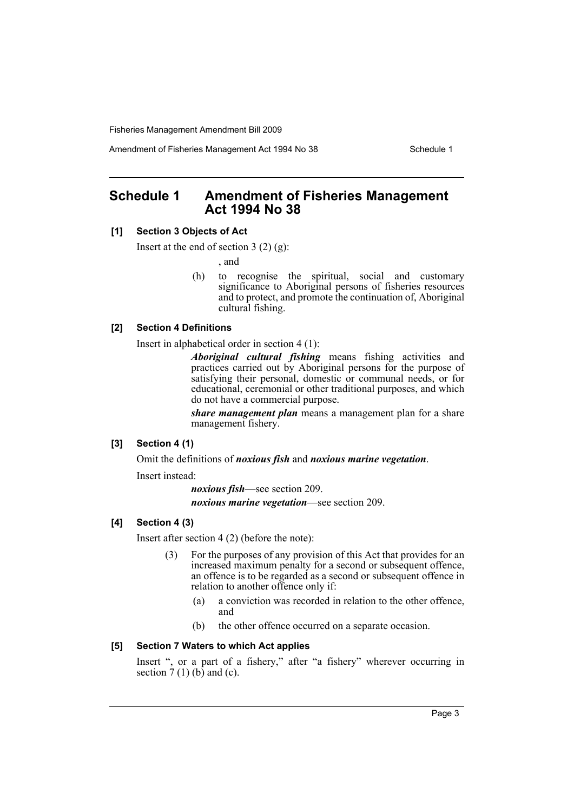Amendment of Fisheries Management Act 1994 No 38 Schedule 1

# <span id="page-4-0"></span>**Schedule 1 Amendment of Fisheries Management Act 1994 No 38**

#### **[1] Section 3 Objects of Act**

Insert at the end of section 3 (2) (g):

, and

(h) to recognise the spiritual, social and customary significance to Aboriginal persons of fisheries resources and to protect, and promote the continuation of, Aboriginal cultural fishing.

#### **[2] Section 4 Definitions**

Insert in alphabetical order in section 4 (1):

*Aboriginal cultural fishing* means fishing activities and practices carried out by Aboriginal persons for the purpose of satisfying their personal, domestic or communal needs, or for educational, ceremonial or other traditional purposes, and which do not have a commercial purpose.

*share management plan* means a management plan for a share management fishery.

#### **[3] Section 4 (1)**

Omit the definitions of *noxious fish* and *noxious marine vegetation*.

Insert instead:

*noxious fish*—see section 209.

*noxious marine vegetation*—see section 209.

### **[4] Section 4 (3)**

Insert after section 4 (2) (before the note):

- (3) For the purposes of any provision of this Act that provides for an increased maximum penalty for a second or subsequent offence, an offence is to be regarded as a second or subsequent offence in relation to another offence only if:
	- (a) a conviction was recorded in relation to the other offence, and
	- (b) the other offence occurred on a separate occasion.

#### **[5] Section 7 Waters to which Act applies**

Insert ", or a part of a fishery," after "a fishery" wherever occurring in section  $7(1)$  (b) and (c).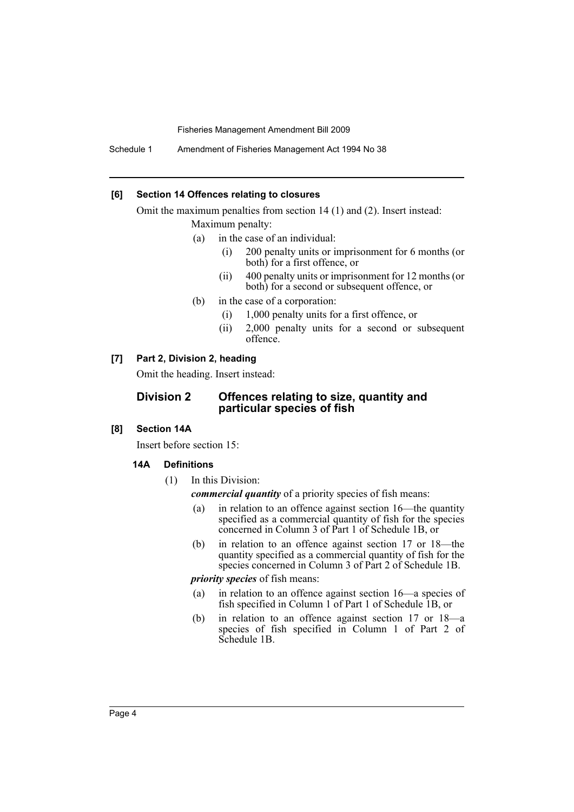Schedule 1 Amendment of Fisheries Management Act 1994 No 38

#### **[6] Section 14 Offences relating to closures**

Omit the maximum penalties from section 14 (1) and (2). Insert instead: Maximum penalty:

- (a) in the case of an individual:
	- (i) 200 penalty units or imprisonment for 6 months (or both) for a first offence, or
	- (ii) 400 penalty units or imprisonment for 12 months (or both) for a second or subsequent offence, or
- (b) in the case of a corporation:
	- (i) 1,000 penalty units for a first offence, or
	- (ii) 2,000 penalty units for a second or subsequent offence.

# **[7] Part 2, Division 2, heading**

Omit the heading. Insert instead:

# **Division 2 Offences relating to size, quantity and particular species of fish**

# **[8] Section 14A**

Insert before section 15:

#### **14A Definitions**

(1) In this Division:

*commercial quantity* of a priority species of fish means:

- (a) in relation to an offence against section 16—the quantity specified as a commercial quantity of fish for the species concerned in Column 3 of Part 1 of Schedule 1B, or
- (b) in relation to an offence against section 17 or 18—the quantity specified as a commercial quantity of fish for the species concerned in Column 3 of Part 2 of Schedule 1B.

#### *priority species* of fish means:

- (a) in relation to an offence against section 16—a species of fish specified in Column 1 of Part 1 of Schedule 1B, or
- (b) in relation to an offence against section 17 or 18—a species of fish specified in Column 1 of Part 2 of Schedule 1B.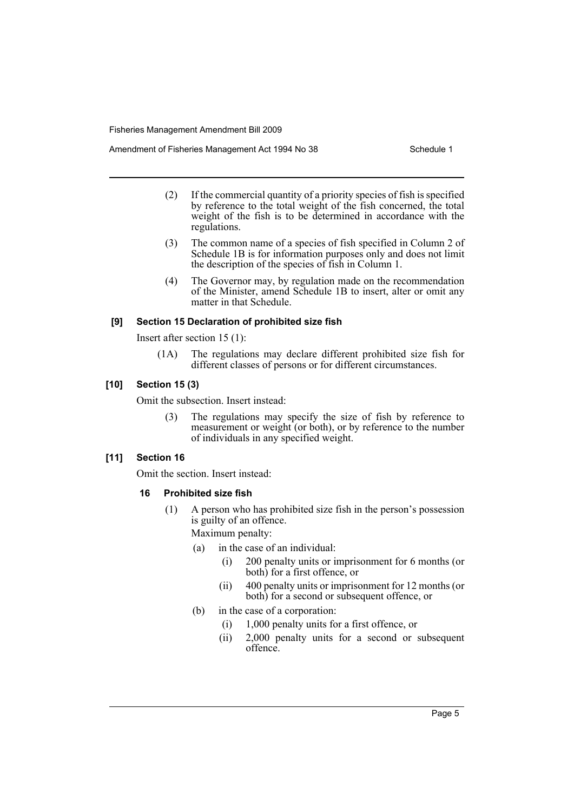Amendment of Fisheries Management Act 1994 No 38 Schedule 1

- (2) If the commercial quantity of a priority species of fish is specified by reference to the total weight of the fish concerned, the total weight of the fish is to be determined in accordance with the regulations.
- (3) The common name of a species of fish specified in Column 2 of Schedule 1B is for information purposes only and does not limit the description of the species of fish in Column 1.
- (4) The Governor may, by regulation made on the recommendation of the Minister, amend Schedule 1B to insert, alter or omit any matter in that Schedule.

### **[9] Section 15 Declaration of prohibited size fish**

Insert after section 15 (1):

(1A) The regulations may declare different prohibited size fish for different classes of persons or for different circumstances.

### **[10] Section 15 (3)**

Omit the subsection. Insert instead:

(3) The regulations may specify the size of fish by reference to measurement or weight (or both), or by reference to the number of individuals in any specified weight.

# **[11] Section 16**

Omit the section. Insert instead:

# **16 Prohibited size fish**

(1) A person who has prohibited size fish in the person's possession is guilty of an offence.

Maximum penalty:

- (a) in the case of an individual:
	- (i) 200 penalty units or imprisonment for 6 months (or both) for a first offence, or
	- (ii) 400 penalty units or imprisonment for 12 months (or both) for a second or subsequent offence, or
- (b) in the case of a corporation:
	- (i) 1,000 penalty units for a first offence, or
	- (ii) 2,000 penalty units for a second or subsequent offence.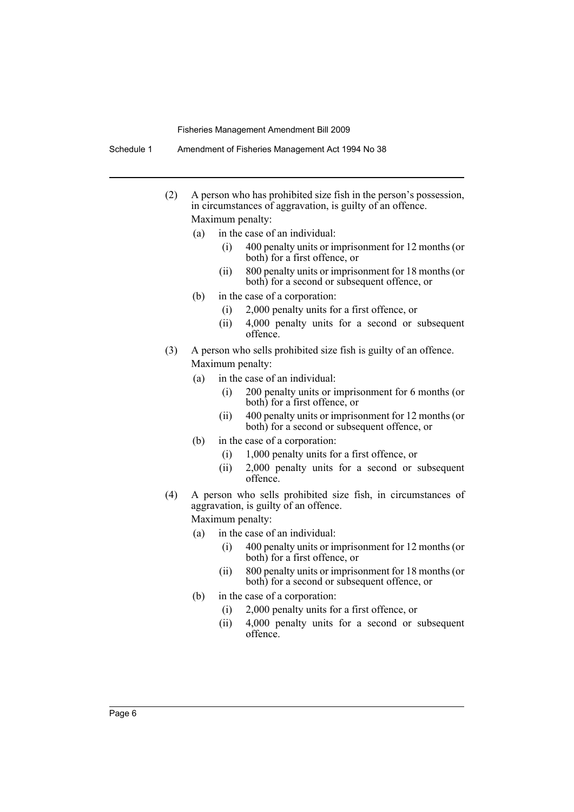- (2) A person who has prohibited size fish in the person's possession, in circumstances of aggravation, is guilty of an offence. Maximum penalty:
	- (a) in the case of an individual:
		- (i) 400 penalty units or imprisonment for 12 months (or both) for a first offence, or
		- (ii) 800 penalty units or imprisonment for 18 months (or both) for a second or subsequent offence, or
	- (b) in the case of a corporation:
		- (i) 2,000 penalty units for a first offence, or
		- (ii) 4,000 penalty units for a second or subsequent offence.
- (3) A person who sells prohibited size fish is guilty of an offence. Maximum penalty:
	- (a) in the case of an individual:
		- (i) 200 penalty units or imprisonment for 6 months (or both) for a first offence, or
		- (ii) 400 penalty units or imprisonment for 12 months (or both) for a second or subsequent offence, or
	- (b) in the case of a corporation:
		- (i) 1,000 penalty units for a first offence, or
		- (ii) 2,000 penalty units for a second or subsequent offence.
- (4) A person who sells prohibited size fish, in circumstances of aggravation, is guilty of an offence. Maximum penalty:
	- (a) in the case of an individual:
		- (i) 400 penalty units or imprisonment for 12 months (or both) for a first offence, or
		- (ii) 800 penalty units or imprisonment for 18 months (or both) for a second or subsequent offence, or
	- (b) in the case of a corporation:
		- (i) 2,000 penalty units for a first offence, or
		- (ii) 4,000 penalty units for a second or subsequent offence.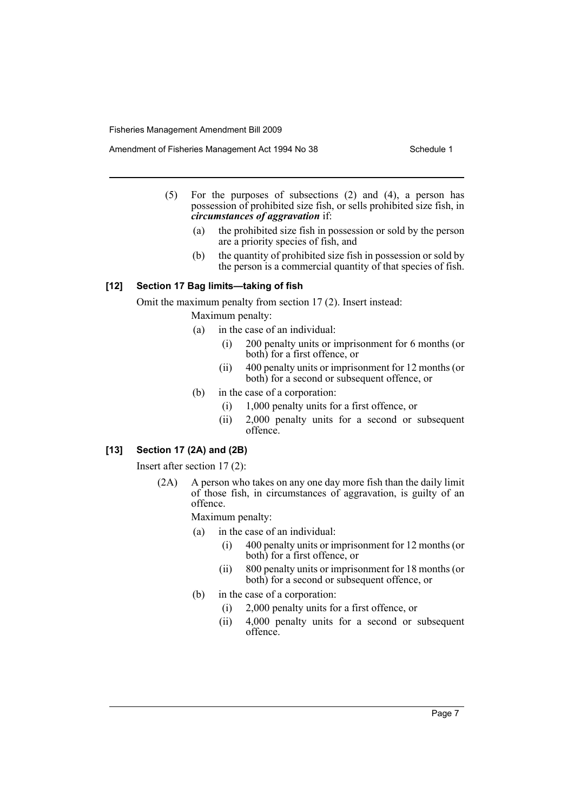Amendment of Fisheries Management Act 1994 No 38 Schedule 1

- (5) For the purposes of subsections (2) and (4), a person has possession of prohibited size fish, or sells prohibited size fish, in *circumstances of aggravation* if:
	- (a) the prohibited size fish in possession or sold by the person are a priority species of fish, and
	- (b) the quantity of prohibited size fish in possession or sold by the person is a commercial quantity of that species of fish.

#### **[12] Section 17 Bag limits—taking of fish**

Omit the maximum penalty from section 17 (2). Insert instead:

Maximum penalty:

- (a) in the case of an individual:
	- (i) 200 penalty units or imprisonment for 6 months (or both) for a first offence, or
	- (ii) 400 penalty units or imprisonment for 12 months (or both) for a second or subsequent offence, or
- (b) in the case of a corporation:
	- (i) 1,000 penalty units for a first offence, or
	- (ii) 2,000 penalty units for a second or subsequent offence.

# **[13] Section 17 (2A) and (2B)**

Insert after section 17 (2):

(2A) A person who takes on any one day more fish than the daily limit of those fish, in circumstances of aggravation, is guilty of an offence.

Maximum penalty:

- (a) in the case of an individual:
	- (i) 400 penalty units or imprisonment for 12 months (or both) for a first offence, or
	- (ii) 800 penalty units or imprisonment for 18 months (or both) for a second or subsequent offence, or
- (b) in the case of a corporation:
	- (i) 2,000 penalty units for a first offence, or
	- (ii) 4,000 penalty units for a second or subsequent offence.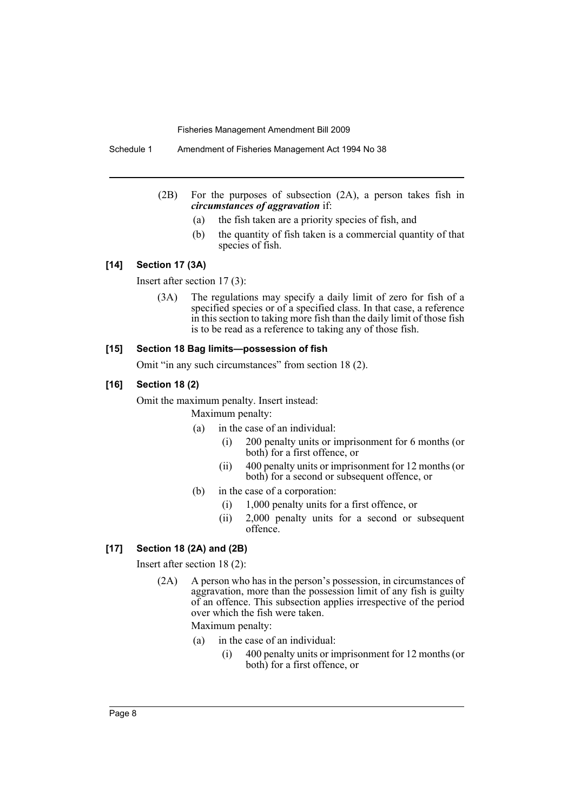Schedule 1 Amendment of Fisheries Management Act 1994 No 38

- (2B) For the purposes of subsection (2A), a person takes fish in *circumstances of aggravation* if:
	- (a) the fish taken are a priority species of fish, and
	- (b) the quantity of fish taken is a commercial quantity of that species of fish.

#### **[14] Section 17 (3A)**

Insert after section 17 (3):

(3A) The regulations may specify a daily limit of zero for fish of a specified species or of a specified class. In that case, a reference in this section to taking more fish than the daily limit of those fish is to be read as a reference to taking any of those fish.

#### **[15] Section 18 Bag limits—possession of fish**

Omit "in any such circumstances" from section 18 (2).

#### **[16] Section 18 (2)**

Omit the maximum penalty. Insert instead:

Maximum penalty:

- (a) in the case of an individual:
	- (i) 200 penalty units or imprisonment for 6 months (or both) for a first offence, or
	- (ii) 400 penalty units or imprisonment for 12 months (or both) for a second or subsequent offence, or
- (b) in the case of a corporation:
	- (i) 1,000 penalty units for a first offence, or
	- (ii) 2,000 penalty units for a second or subsequent offence.

### **[17] Section 18 (2A) and (2B)**

Insert after section 18 (2):

(2A) A person who has in the person's possession, in circumstances of aggravation, more than the possession limit of any fish is guilty of an offence. This subsection applies irrespective of the period over which the fish were taken.

Maximum penalty:

- (a) in the case of an individual:
	- (i) 400 penalty units or imprisonment for 12 months (or both) for a first offence, or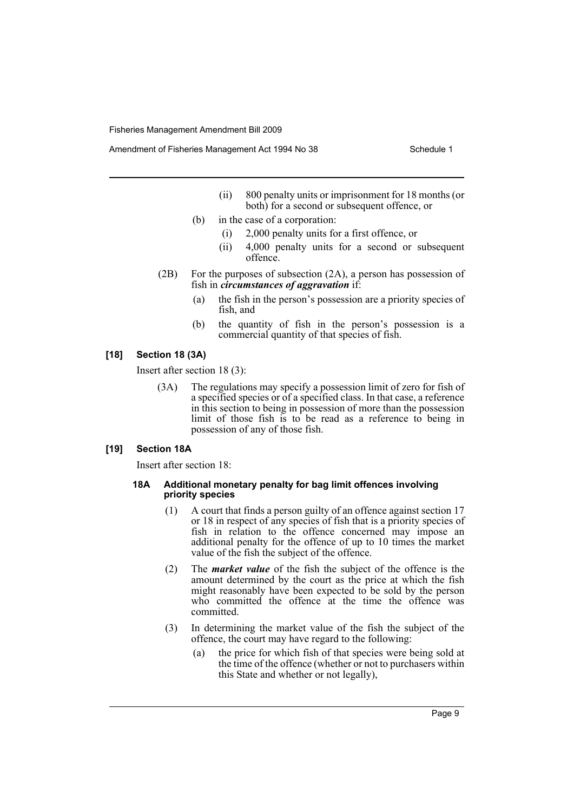Amendment of Fisheries Management Act 1994 No 38 Schedule 1

- (ii) 800 penalty units or imprisonment for 18 months (or both) for a second or subsequent offence, or
- (b) in the case of a corporation:
	- (i) 2,000 penalty units for a first offence, or
	- (ii) 4,000 penalty units for a second or subsequent offence.
- (2B) For the purposes of subsection (2A), a person has possession of fish in *circumstances of aggravation* if:
	- (a) the fish in the person's possession are a priority species of fish, and
	- (b) the quantity of fish in the person's possession is a commercial quantity of that species of fish.

# **[18] Section 18 (3A)**

Insert after section 18 (3):

(3A) The regulations may specify a possession limit of zero for fish of a specified species or of a specified class. In that case, a reference in this section to being in possession of more than the possession limit of those fish is to be read as a reference to being in possession of any of those fish.

#### **[19] Section 18A**

Insert after section 18:

#### **18A Additional monetary penalty for bag limit offences involving priority species**

- (1) A court that finds a person guilty of an offence against section 17 or 18 in respect of any species of fish that is a priority species of fish in relation to the offence concerned may impose an additional penalty for the offence of up to 10 times the market value of the fish the subject of the offence.
- (2) The *market value* of the fish the subject of the offence is the amount determined by the court as the price at which the fish might reasonably have been expected to be sold by the person who committed the offence at the time the offence was committed.
- (3) In determining the market value of the fish the subject of the offence, the court may have regard to the following:
	- (a) the price for which fish of that species were being sold at the time of the offence (whether or not to purchasers within this State and whether or not legally),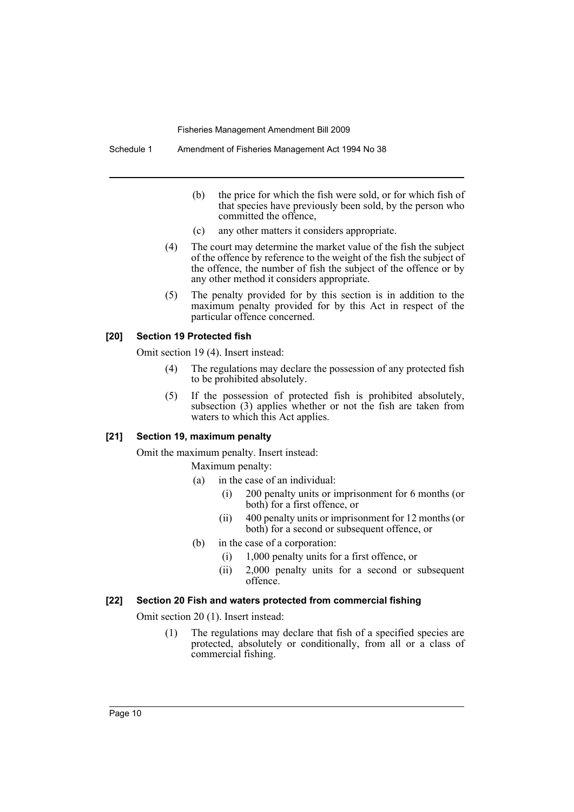- (b) the price for which the fish were sold, or for which fish of that species have previously been sold, by the person who committed the offence,
- (c) any other matters it considers appropriate.
- (4) The court may determine the market value of the fish the subject of the offence by reference to the weight of the fish the subject of the offence, the number of fish the subject of the offence or by any other method it considers appropriate.
- (5) The penalty provided for by this section is in addition to the maximum penalty provided for by this Act in respect of the particular offence concerned.

#### **[20] Section 19 Protected fish**

Omit section 19 (4). Insert instead:

- (4) The regulations may declare the possession of any protected fish to be prohibited absolutely.
- (5) If the possession of protected fish is prohibited absolutely, subsection (3) applies whether or not the fish are taken from waters to which this Act applies.

### **[21] Section 19, maximum penalty**

Omit the maximum penalty. Insert instead: Maximum penalty:

- (a) in the case of an individual:
	- (i) 200 penalty units or imprisonment for 6 months (or both) for a first offence, or
	- (ii) 400 penalty units or imprisonment for 12 months (or both) for a second or subsequent offence, or
- (b) in the case of a corporation:
	- (i) 1,000 penalty units for a first offence, or
	- (ii) 2,000 penalty units for a second or subsequent offence.

#### **[22] Section 20 Fish and waters protected from commercial fishing**

Omit section 20 (1). Insert instead:

(1) The regulations may declare that fish of a specified species are protected, absolutely or conditionally, from all or a class of commercial fishing.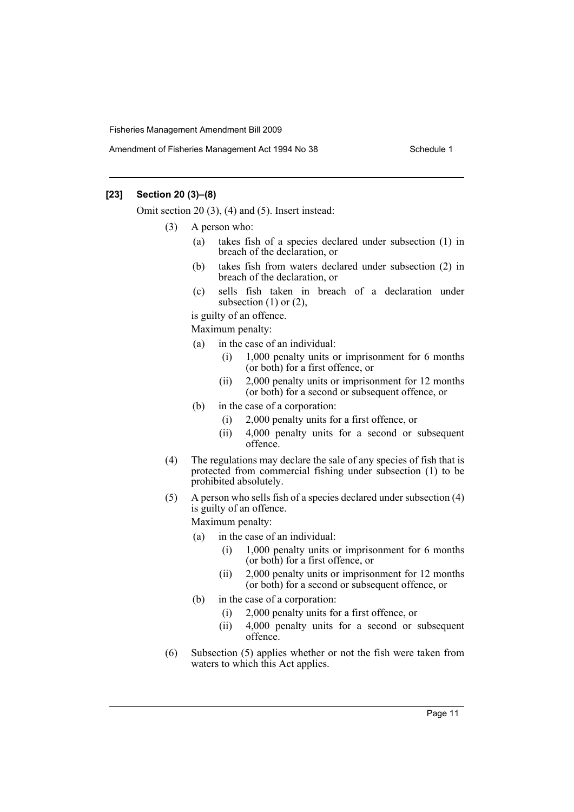### **[23] Section 20 (3)–(8)**

Omit section 20 (3), (4) and (5). Insert instead:

- (3) A person who:
	- (a) takes fish of a species declared under subsection (1) in breach of the declaration, or
	- (b) takes fish from waters declared under subsection (2) in breach of the declaration, or
	- (c) sells fish taken in breach of a declaration under subsection  $(1)$  or  $(2)$ ,

is guilty of an offence.

Maximum penalty:

- (a) in the case of an individual:
	- (i) 1,000 penalty units or imprisonment for 6 months (or both) for a first offence, or
	- (ii) 2,000 penalty units or imprisonment for 12 months (or both) for a second or subsequent offence, or
- (b) in the case of a corporation:
	- (i) 2,000 penalty units for a first offence, or
	- (ii) 4,000 penalty units for a second or subsequent offence.
- (4) The regulations may declare the sale of any species of fish that is protected from commercial fishing under subsection (1) to be prohibited absolutely.
- (5) A person who sells fish of a species declared under subsection (4) is guilty of an offence.

Maximum penalty:

- (a) in the case of an individual:
	- (i) 1,000 penalty units or imprisonment for 6 months (or both) for a first offence, or
	- (ii) 2,000 penalty units or imprisonment for 12 months (or both) for a second or subsequent offence, or
- (b) in the case of a corporation:
	- (i) 2,000 penalty units for a first offence, or
	- (ii) 4,000 penalty units for a second or subsequent offence.
- (6) Subsection (5) applies whether or not the fish were taken from waters to which this Act applies.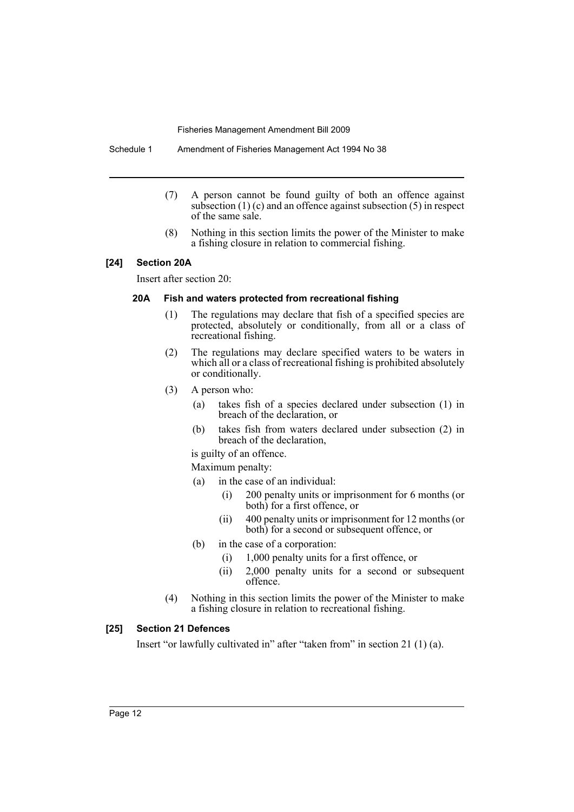Schedule 1 Amendment of Fisheries Management Act 1994 No 38

- (7) A person cannot be found guilty of both an offence against subsection  $(1)$  (c) and an offence against subsection  $(5)$  in respect of the same sale.
- (8) Nothing in this section limits the power of the Minister to make a fishing closure in relation to commercial fishing.

### **[24] Section 20A**

Insert after section 20:

#### **20A Fish and waters protected from recreational fishing**

- (1) The regulations may declare that fish of a specified species are protected, absolutely or conditionally, from all or a class of recreational fishing.
- (2) The regulations may declare specified waters to be waters in which all or a class of recreational fishing is prohibited absolutely or conditionally.
- (3) A person who:
	- (a) takes fish of a species declared under subsection (1) in breach of the declaration, or
	- (b) takes fish from waters declared under subsection (2) in breach of the declaration,
	- is guilty of an offence.

Maximum penalty:

- (a) in the case of an individual:
	- (i) 200 penalty units or imprisonment for 6 months (or both) for a first offence, or
	- (ii) 400 penalty units or imprisonment for 12 months (or both) for a second or subsequent offence, or
- (b) in the case of a corporation:
	- (i) 1,000 penalty units for a first offence, or
	- (ii) 2,000 penalty units for a second or subsequent offence.
- (4) Nothing in this section limits the power of the Minister to make a fishing closure in relation to recreational fishing.

# **[25] Section 21 Defences**

Insert "or lawfully cultivated in" after "taken from" in section 21 (1) (a).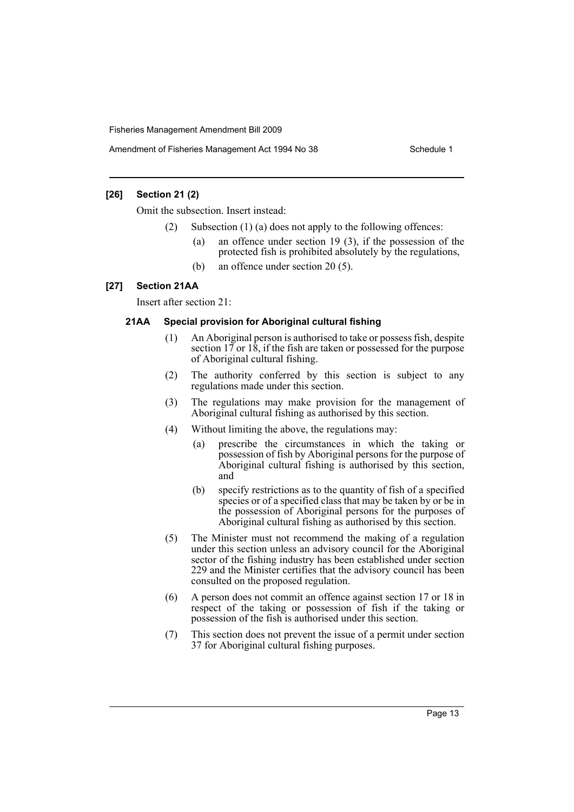Amendment of Fisheries Management Act 1994 No 38 Schedule 1

### **[26] Section 21 (2)**

Omit the subsection. Insert instead:

- Subsection  $(1)$  (a) does not apply to the following offences:
	- (a) an offence under section 19 (3), if the possession of the protected fish is prohibited absolutely by the regulations,
	- (b) an offence under section 20 (5).

#### **[27] Section 21AA**

Insert after section 21:

#### **21AA Special provision for Aboriginal cultural fishing**

- (1) An Aboriginal person is authorised to take or possess fish, despite section  $17$  or  $18$ , if the fish are taken or possessed for the purpose of Aboriginal cultural fishing.
- (2) The authority conferred by this section is subject to any regulations made under this section.
- (3) The regulations may make provision for the management of Aboriginal cultural fishing as authorised by this section.
- (4) Without limiting the above, the regulations may:
	- (a) prescribe the circumstances in which the taking or possession of fish by Aboriginal persons for the purpose of Aboriginal cultural fishing is authorised by this section, and
	- (b) specify restrictions as to the quantity of fish of a specified species or of a specified class that may be taken by or be in the possession of Aboriginal persons for the purposes of Aboriginal cultural fishing as authorised by this section.
- (5) The Minister must not recommend the making of a regulation under this section unless an advisory council for the Aboriginal sector of the fishing industry has been established under section 229 and the Minister certifies that the advisory council has been consulted on the proposed regulation.
- (6) A person does not commit an offence against section 17 or 18 in respect of the taking or possession of fish if the taking or possession of the fish is authorised under this section.
- (7) This section does not prevent the issue of a permit under section 37 for Aboriginal cultural fishing purposes.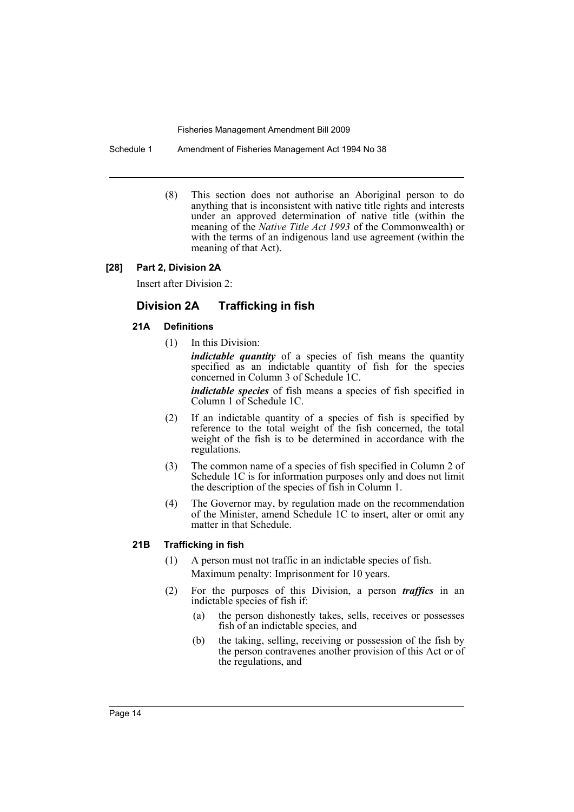Schedule 1 Amendment of Fisheries Management Act 1994 No 38

(8) This section does not authorise an Aboriginal person to do anything that is inconsistent with native title rights and interests under an approved determination of native title (within the meaning of the *Native Title Act 1993* of the Commonwealth) or with the terms of an indigenous land use agreement (within the meaning of that Act).

### **[28] Part 2, Division 2A**

Insert after Division 2:

# **Division 2A Trafficking in fish**

# **21A Definitions**

(1) In this Division:

*indictable quantity* of a species of fish means the quantity specified as an indictable quantity of fish for the species concerned in Column 3 of Schedule 1C.

*indictable species* of fish means a species of fish specified in Column 1 of Schedule 1C.

- (2) If an indictable quantity of a species of fish is specified by reference to the total weight of the fish concerned, the total weight of the fish is to be determined in accordance with the regulations.
- (3) The common name of a species of fish specified in Column 2 of Schedule 1C is for information purposes only and does not limit the description of the species of fish in Column 1.
- (4) The Governor may, by regulation made on the recommendation of the Minister, amend Schedule 1C to insert, alter or omit any matter in that Schedule.

# **21B Trafficking in fish**

- (1) A person must not traffic in an indictable species of fish. Maximum penalty: Imprisonment for 10 years.
- (2) For the purposes of this Division, a person *traffics* in an indictable species of fish if:
	- (a) the person dishonestly takes, sells, receives or possesses fish of an indictable species, and
	- (b) the taking, selling, receiving or possession of the fish by the person contravenes another provision of this Act or of the regulations, and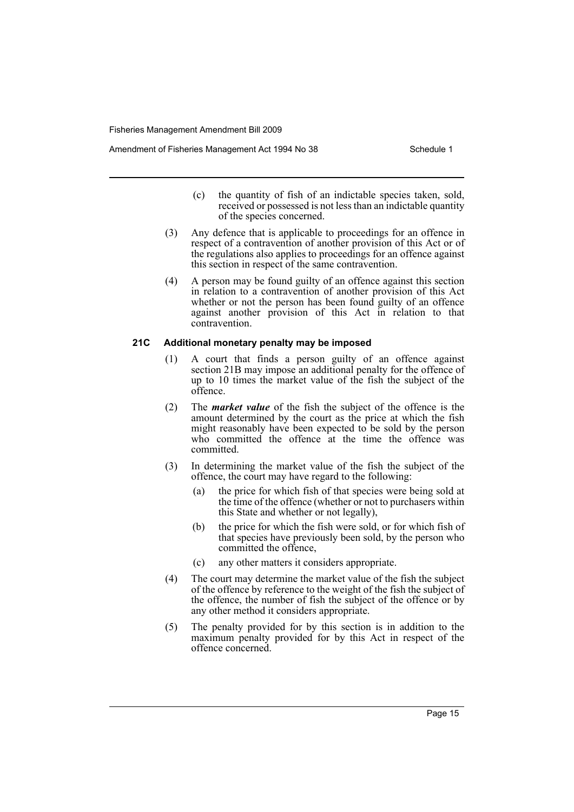Amendment of Fisheries Management Act 1994 No 38 Schedule 1

- (c) the quantity of fish of an indictable species taken, sold, received or possessed is not less than an indictable quantity of the species concerned.
- (3) Any defence that is applicable to proceedings for an offence in respect of a contravention of another provision of this Act or of the regulations also applies to proceedings for an offence against this section in respect of the same contravention.
- (4) A person may be found guilty of an offence against this section in relation to a contravention of another provision of this Act whether or not the person has been found guilty of an offence against another provision of this Act in relation to that contravention.

# **21C Additional monetary penalty may be imposed**

- (1) A court that finds a person guilty of an offence against section 21B may impose an additional penalty for the offence of up to 10 times the market value of the fish the subject of the offence.
- (2) The *market value* of the fish the subject of the offence is the amount determined by the court as the price at which the fish might reasonably have been expected to be sold by the person who committed the offence at the time the offence was committed.
- (3) In determining the market value of the fish the subject of the offence, the court may have regard to the following:
	- (a) the price for which fish of that species were being sold at the time of the offence (whether or not to purchasers within this State and whether or not legally),
	- (b) the price for which the fish were sold, or for which fish of that species have previously been sold, by the person who committed the offence,
	- (c) any other matters it considers appropriate.
- (4) The court may determine the market value of the fish the subject of the offence by reference to the weight of the fish the subject of the offence, the number of fish the subject of the offence or by any other method it considers appropriate.
- (5) The penalty provided for by this section is in addition to the maximum penalty provided for by this Act in respect of the offence concerned.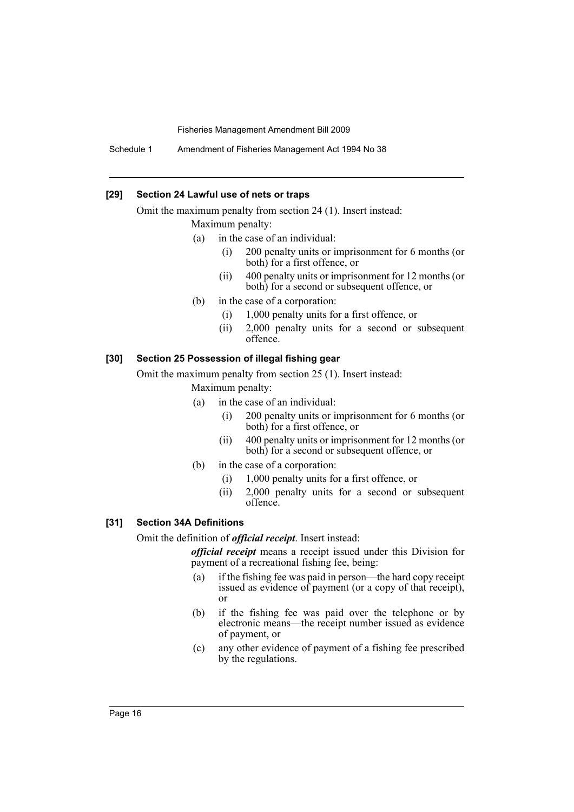Schedule 1 Amendment of Fisheries Management Act 1994 No 38

#### **[29] Section 24 Lawful use of nets or traps**

Omit the maximum penalty from section 24 (1). Insert instead: Maximum penalty:

- (a) in the case of an individual:
	- (i) 200 penalty units or imprisonment for 6 months (or both) for a first offence, or
	- (ii) 400 penalty units or imprisonment for 12 months (or both) for a second or subsequent offence, or
- (b) in the case of a corporation:
	- (i) 1,000 penalty units for a first offence, or
	- (ii) 2,000 penalty units for a second or subsequent offence.

### **[30] Section 25 Possession of illegal fishing gear**

Omit the maximum penalty from section 25 (1). Insert instead:

Maximum penalty:

- (a) in the case of an individual:
	- (i) 200 penalty units or imprisonment for 6 months (or both) for a first offence, or
	- (ii) 400 penalty units or imprisonment for 12 months (or both) for a second or subsequent offence, or
- (b) in the case of a corporation:
	- (i) 1,000 penalty units for a first offence, or
	- (ii) 2,000 penalty units for a second or subsequent offence.

### **[31] Section 34A Definitions**

Omit the definition of *official receipt*. Insert instead:

*official receipt* means a receipt issued under this Division for payment of a recreational fishing fee, being:

- (a) if the fishing fee was paid in person—the hard copy receipt issued as evidence of payment (or a copy of that receipt), or
- (b) if the fishing fee was paid over the telephone or by electronic means—the receipt number issued as evidence of payment, or
- (c) any other evidence of payment of a fishing fee prescribed by the regulations.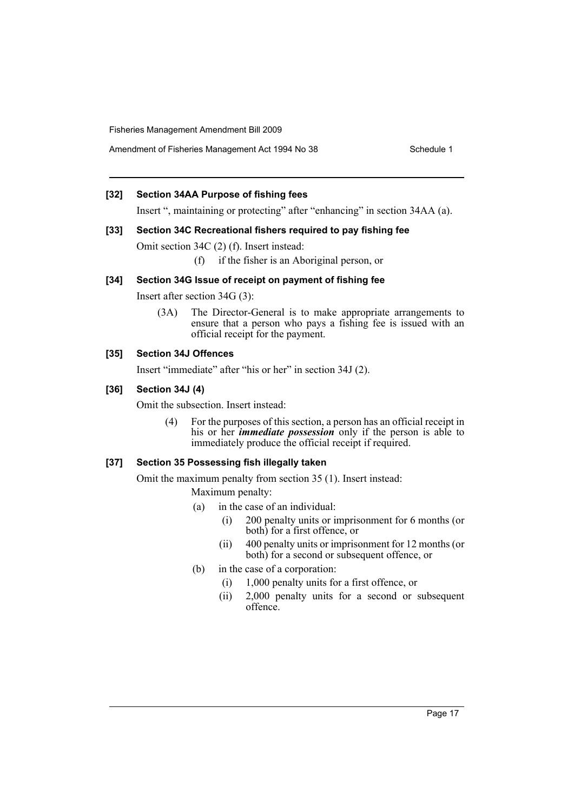Amendment of Fisheries Management Act 1994 No 38 Schedule 1

# **[32] Section 34AA Purpose of fishing fees**

Insert ", maintaining or protecting" after "enhancing" in section 34AA (a).

#### **[33] Section 34C Recreational fishers required to pay fishing fee**

Omit section 34C (2) (f). Insert instead:

(f) if the fisher is an Aboriginal person, or

# **[34] Section 34G Issue of receipt on payment of fishing fee**

Insert after section 34G (3):

(3A) The Director-General is to make appropriate arrangements to ensure that a person who pays a fishing fee is issued with an official receipt for the payment.

# **[35] Section 34J Offences**

Insert "immediate" after "his or her" in section 34J (2).

### **[36] Section 34J (4)**

Omit the subsection. Insert instead:

(4) For the purposes of this section, a person has an official receipt in his or her *immediate possession* only if the person is able to immediately produce the official receipt if required.

# **[37] Section 35 Possessing fish illegally taken**

Omit the maximum penalty from section 35 (1). Insert instead:

Maximum penalty:

- (a) in the case of an individual:
	- (i) 200 penalty units or imprisonment for 6 months (or both) for a first offence, or
	- (ii) 400 penalty units or imprisonment for 12 months (or both) for a second or subsequent offence, or
- (b) in the case of a corporation:
	- (i) 1,000 penalty units for a first offence, or
	- (ii) 2,000 penalty units for a second or subsequent offence.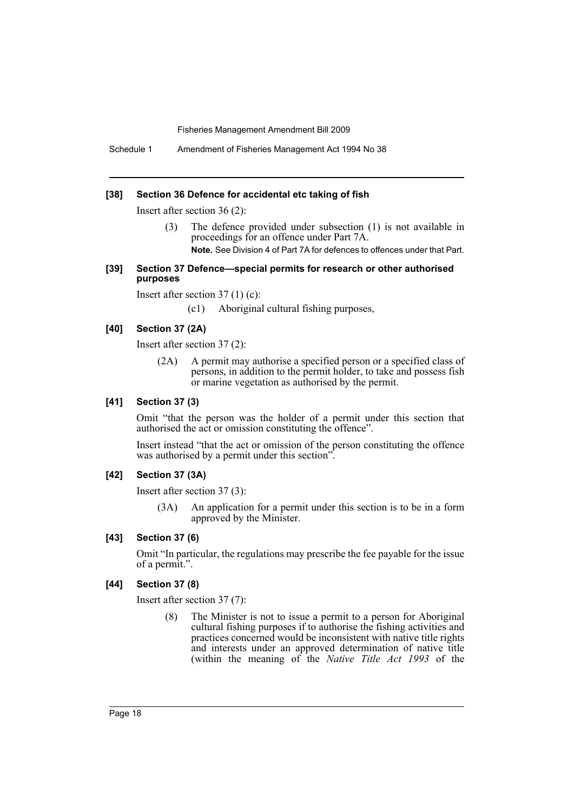Schedule 1 Amendment of Fisheries Management Act 1994 No 38

#### **[38] Section 36 Defence for accidental etc taking of fish**

Insert after section 36 (2):

(3) The defence provided under subsection (1) is not available in proceedings for an offence under Part 7A.

**Note.** See Division 4 of Part 7A for defences to offences under that Part.

#### **[39] Section 37 Defence—special permits for research or other authorised purposes**

Insert after section 37 (1) (c):

(c1) Aboriginal cultural fishing purposes,

#### **[40] Section 37 (2A)**

Insert after section 37 (2):

(2A) A permit may authorise a specified person or a specified class of persons, in addition to the permit holder, to take and possess fish or marine vegetation as authorised by the permit.

# **[41] Section 37 (3)**

Omit "that the person was the holder of a permit under this section that authorised the act or omission constituting the offence".

Insert instead "that the act or omission of the person constituting the offence was authorised by a permit under this section".

#### **[42] Section 37 (3A)**

Insert after section 37 (3):

(3A) An application for a permit under this section is to be in a form approved by the Minister.

#### **[43] Section 37 (6)**

Omit "In particular, the regulations may prescribe the fee payable for the issue of a permit.".

#### **[44] Section 37 (8)**

Insert after section 37 (7):

(8) The Minister is not to issue a permit to a person for Aboriginal cultural fishing purposes if to authorise the fishing activities and practices concerned would be inconsistent with native title rights and interests under an approved determination of native title (within the meaning of the *Native Title Act 1993* of the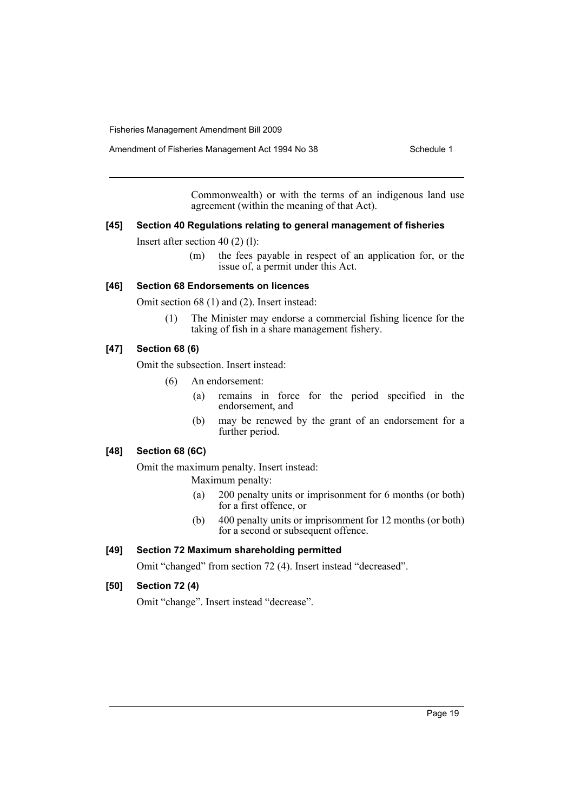Amendment of Fisheries Management Act 1994 No 38 Schedule 1

Commonwealth) or with the terms of an indigenous land use agreement (within the meaning of that Act).

#### **[45] Section 40 Regulations relating to general management of fisheries**

Insert after section 40 (2) (l):

(m) the fees payable in respect of an application for, or the issue of, a permit under this Act.

#### **[46] Section 68 Endorsements on licences**

Omit section 68 (1) and (2). Insert instead:

(1) The Minister may endorse a commercial fishing licence for the taking of fish in a share management fishery.

# **[47] Section 68 (6)**

Omit the subsection. Insert instead:

- (6) An endorsement:
	- (a) remains in force for the period specified in the endorsement, and
	- (b) may be renewed by the grant of an endorsement for a further period.

### **[48] Section 68 (6C)**

Omit the maximum penalty. Insert instead:

Maximum penalty:

- (a) 200 penalty units or imprisonment for 6 months (or both) for a first offence, or
- (b) 400 penalty units or imprisonment for 12 months (or both) for a second or subsequent offence.

#### **[49] Section 72 Maximum shareholding permitted**

Omit "changed" from section 72 (4). Insert instead "decreased".

#### **[50] Section 72 (4)**

Omit "change". Insert instead "decrease".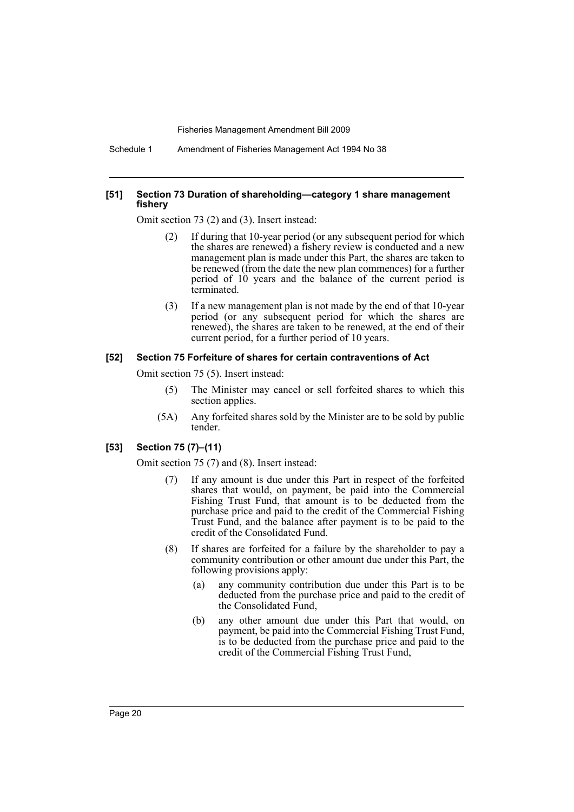Schedule 1 Amendment of Fisheries Management Act 1994 No 38

#### **[51] Section 73 Duration of shareholding—category 1 share management fishery**

Omit section 73 (2) and (3). Insert instead:

- (2) If during that 10-year period (or any subsequent period for which the shares are renewed) a fishery review is conducted and a new management plan is made under this Part, the shares are taken to be renewed (from the date the new plan commences) for a further period of 10 years and the balance of the current period is terminated.
- (3) If a new management plan is not made by the end of that 10-year period (or any subsequent period for which the shares are renewed), the shares are taken to be renewed, at the end of their current period, for a further period of 10 years.

#### **[52] Section 75 Forfeiture of shares for certain contraventions of Act**

Omit section 75 (5). Insert instead:

- (5) The Minister may cancel or sell forfeited shares to which this section applies.
- (5A) Any forfeited shares sold by the Minister are to be sold by public tender.

#### **[53] Section 75 (7)–(11)**

Omit section 75 (7) and (8). Insert instead:

- (7) If any amount is due under this Part in respect of the forfeited shares that would, on payment, be paid into the Commercial Fishing Trust Fund, that amount is to be deducted from the purchase price and paid to the credit of the Commercial Fishing Trust Fund, and the balance after payment is to be paid to the credit of the Consolidated Fund.
- (8) If shares are forfeited for a failure by the shareholder to pay a community contribution or other amount due under this Part, the following provisions apply:
	- (a) any community contribution due under this Part is to be deducted from the purchase price and paid to the credit of the Consolidated Fund,
	- (b) any other amount due under this Part that would, on payment, be paid into the Commercial Fishing Trust Fund, is to be deducted from the purchase price and paid to the credit of the Commercial Fishing Trust Fund,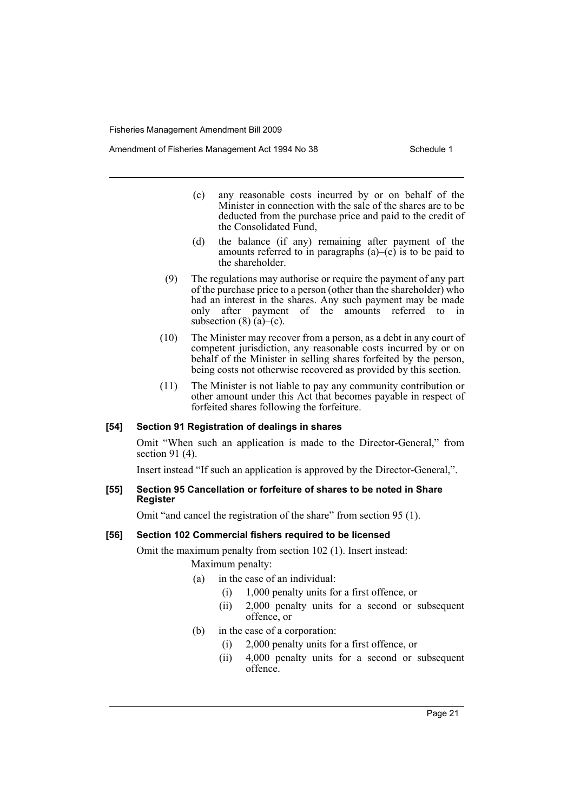Amendment of Fisheries Management Act 1994 No 38 Schedule 1

- (c) any reasonable costs incurred by or on behalf of the Minister in connection with the sale of the shares are to be deducted from the purchase price and paid to the credit of the Consolidated Fund,
- (d) the balance (if any) remaining after payment of the amounts referred to in paragraphs  $(a)$ – $(c)$  is to be paid to the shareholder.
- (9) The regulations may authorise or require the payment of any part of the purchase price to a person (other than the shareholder) who had an interest in the shares. Any such payment may be made only after payment of the amounts referred to in subsection  $(8)$  (a)–(c).
- (10) The Minister may recover from a person, as a debt in any court of competent jurisdiction, any reasonable costs incurred by or on behalf of the Minister in selling shares forfeited by the person, being costs not otherwise recovered as provided by this section.
- (11) The Minister is not liable to pay any community contribution or other amount under this Act that becomes payable in respect of forfeited shares following the forfeiture.

#### **[54] Section 91 Registration of dealings in shares**

Omit "When such an application is made to the Director-General," from section 91 (4).

Insert instead "If such an application is approved by the Director-General,".

### **[55] Section 95 Cancellation or forfeiture of shares to be noted in Share Register**

Omit "and cancel the registration of the share" from section 95 (1).

# **[56] Section 102 Commercial fishers required to be licensed**

Omit the maximum penalty from section 102 (1). Insert instead: Maximum penalty:

- (a) in the case of an individual:
	- (i) 1,000 penalty units for a first offence, or
	- (ii) 2,000 penalty units for a second or subsequent offence, or
- (b) in the case of a corporation:
	- (i) 2,000 penalty units for a first offence, or
	- (ii) 4,000 penalty units for a second or subsequent offence.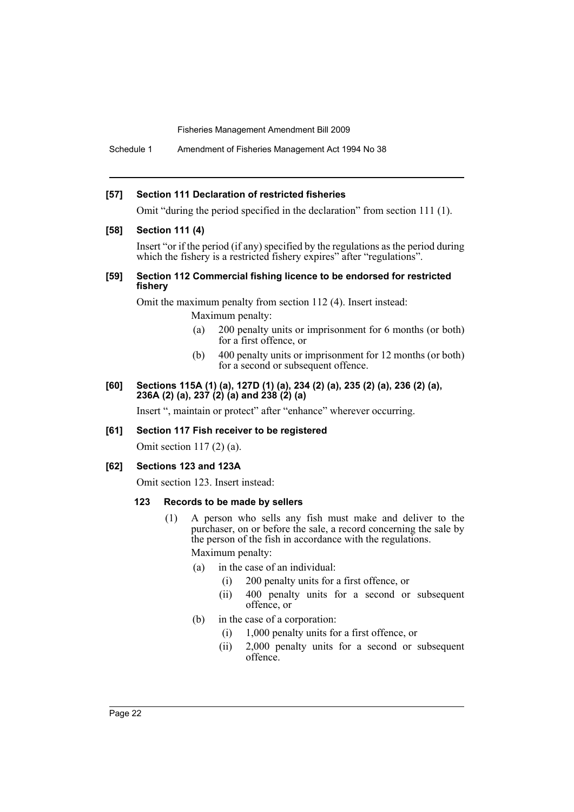Schedule 1 Amendment of Fisheries Management Act 1994 No 38

#### **[57] Section 111 Declaration of restricted fisheries**

Omit "during the period specified in the declaration" from section 111 (1).

#### **[58] Section 111 (4)**

Insert "or if the period (if any) specified by the regulations as the period during which the fishery is a restricted fishery expires" after "regulations".

#### **[59] Section 112 Commercial fishing licence to be endorsed for restricted fishery**

Omit the maximum penalty from section 112 (4). Insert instead: Maximum penalty:

- (a) 200 penalty units or imprisonment for 6 months (or both) for a first offence, or
- (b) 400 penalty units or imprisonment for 12 months (or both) for a second or subsequent offence.

#### **[60] Sections 115A (1) (a), 127D (1) (a), 234 (2) (a), 235 (2) (a), 236 (2) (a), 236A (2) (a), 237 (2) (a) and 238 (2) (a)**

Insert ", maintain or protect" after "enhance" wherever occurring.

#### **[61] Section 117 Fish receiver to be registered**

Omit section 117 (2) (a).

#### **[62] Sections 123 and 123A**

Omit section 123. Insert instead:

#### **123 Records to be made by sellers**

- (1) A person who sells any fish must make and deliver to the purchaser, on or before the sale, a record concerning the sale by the person of the fish in accordance with the regulations. Maximum penalty:
	- (a) in the case of an individual:
		- (i) 200 penalty units for a first offence, or
		- (ii) 400 penalty units for a second or subsequent offence, or
	- (b) in the case of a corporation:
		- (i) 1,000 penalty units for a first offence, or
		- (ii) 2,000 penalty units for a second or subsequent offence.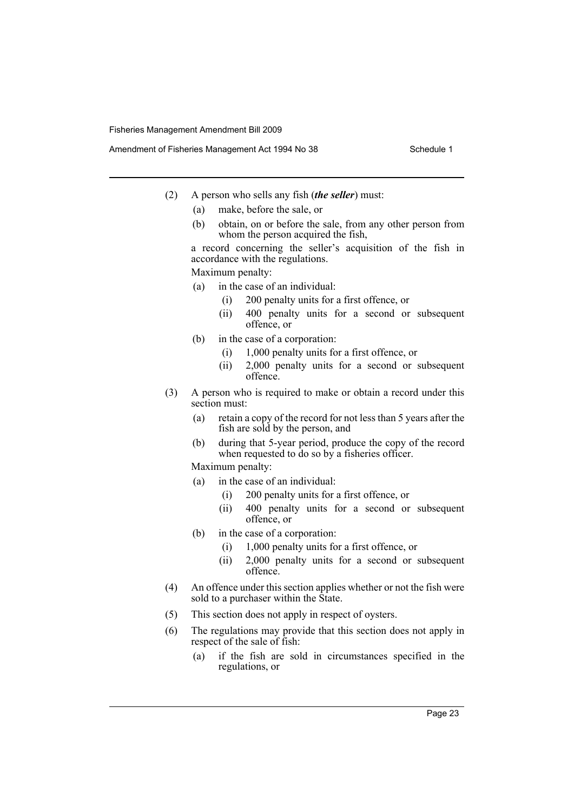- (2) A person who sells any fish (*the seller*) must:
	- (a) make, before the sale, or
	- (b) obtain, on or before the sale, from any other person from whom the person acquired the fish,

a record concerning the seller's acquisition of the fish in accordance with the regulations.

Maximum penalty:

- (a) in the case of an individual:
	- (i) 200 penalty units for a first offence, or
	- (ii) 400 penalty units for a second or subsequent offence, or
- (b) in the case of a corporation:
	- (i) 1,000 penalty units for a first offence, or
	- (ii) 2,000 penalty units for a second or subsequent offence.
- (3) A person who is required to make or obtain a record under this section must:
	- (a) retain a copy of the record for not less than 5 years after the fish are sold by the person, and
	- (b) during that 5-year period, produce the copy of the record when requested to do so by a fisheries officer.

Maximum penalty:

- (a) in the case of an individual:
	- (i) 200 penalty units for a first offence, or
	- (ii) 400 penalty units for a second or subsequent offence, or
- (b) in the case of a corporation:
	- (i) 1,000 penalty units for a first offence, or
	- (ii) 2,000 penalty units for a second or subsequent offence.
- (4) An offence under this section applies whether or not the fish were sold to a purchaser within the State.
- (5) This section does not apply in respect of oysters.
- (6) The regulations may provide that this section does not apply in respect of the sale of fish:
	- (a) if the fish are sold in circumstances specified in the regulations, or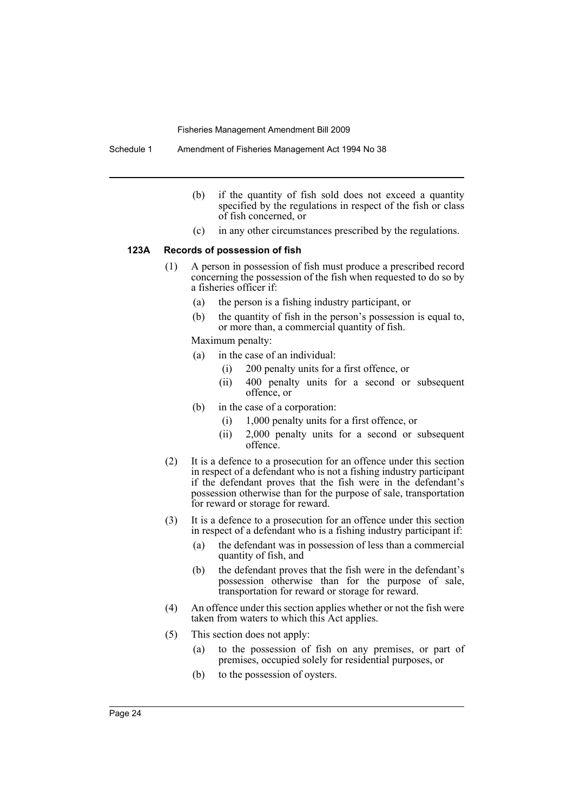Schedule 1 Amendment of Fisheries Management Act 1994 No 38

- (b) if the quantity of fish sold does not exceed a quantity specified by the regulations in respect of the fish or class of fish concerned, or
- (c) in any other circumstances prescribed by the regulations.

#### **123A Records of possession of fish**

- (1) A person in possession of fish must produce a prescribed record concerning the possession of the fish when requested to do so by a fisheries officer if:
	- (a) the person is a fishing industry participant, or
	- (b) the quantity of fish in the person's possession is equal to, or more than, a commercial quantity of fish.

Maximum penalty:

- (a) in the case of an individual:
	- (i) 200 penalty units for a first offence, or
	- (ii) 400 penalty units for a second or subsequent offence, or
- (b) in the case of a corporation:
	- (i) 1,000 penalty units for a first offence, or
	- (ii) 2,000 penalty units for a second or subsequent offence.
- (2) It is a defence to a prosecution for an offence under this section in respect of a defendant who is not a fishing industry participant if the defendant proves that the fish were in the defendant's possession otherwise than for the purpose of sale, transportation for reward or storage for reward.
- (3) It is a defence to a prosecution for an offence under this section in respect of a defendant who is a fishing industry participant if:
	- (a) the defendant was in possession of less than a commercial quantity of fish, and
	- (b) the defendant proves that the fish were in the defendant's possession otherwise than for the purpose of sale, transportation for reward or storage for reward.
- (4) An offence under this section applies whether or not the fish were taken from waters to which this Act applies.
- (5) This section does not apply:
	- (a) to the possession of fish on any premises, or part of premises, occupied solely for residential purposes, or
	- (b) to the possession of oysters.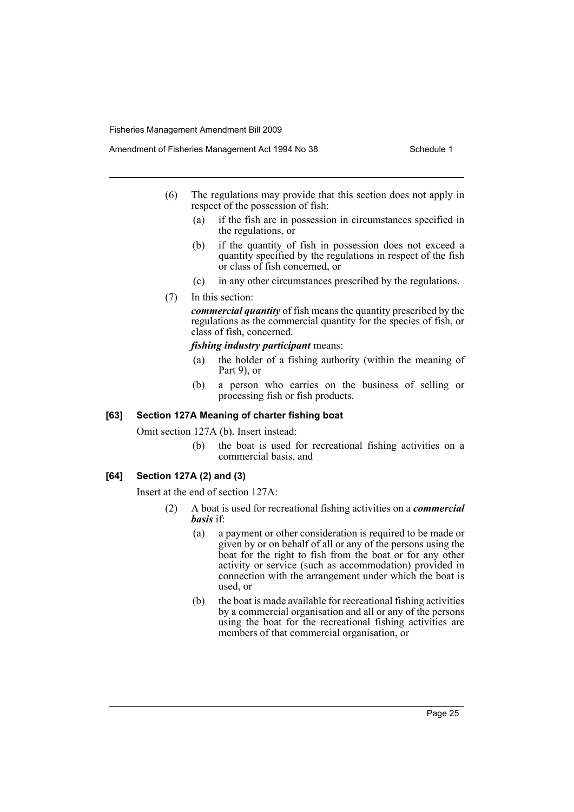- (6) The regulations may provide that this section does not apply in respect of the possession of fish:
	- (a) if the fish are in possession in circumstances specified in the regulations, or
	- (b) if the quantity of fish in possession does not exceed a quantity specified by the regulations in respect of the fish or class of fish concerned, or
	- (c) in any other circumstances prescribed by the regulations.
- (7) In this section:

*commercial quantity* of fish means the quantity prescribed by the regulations as the commercial quantity for the species of fish, or class of fish, concerned.

#### *fishing industry participant* means:

- (a) the holder of a fishing authority (within the meaning of Part 9), or
- (b) a person who carries on the business of selling or processing fish or fish products.

#### **[63] Section 127A Meaning of charter fishing boat**

Omit section 127A (b). Insert instead:

(b) the boat is used for recreational fishing activities on a commercial basis, and

#### **[64] Section 127A (2) and (3)**

Insert at the end of section 127A:

- (2) A boat is used for recreational fishing activities on a *commercial basis* if:
	- (a) a payment or other consideration is required to be made or given by or on behalf of all or any of the persons using the boat for the right to fish from the boat or for any other activity or service (such as accommodation) provided in connection with the arrangement under which the boat is used, or
	- (b) the boat is made available for recreational fishing activities by a commercial organisation and all or any of the persons using the boat for the recreational fishing activities are members of that commercial organisation, or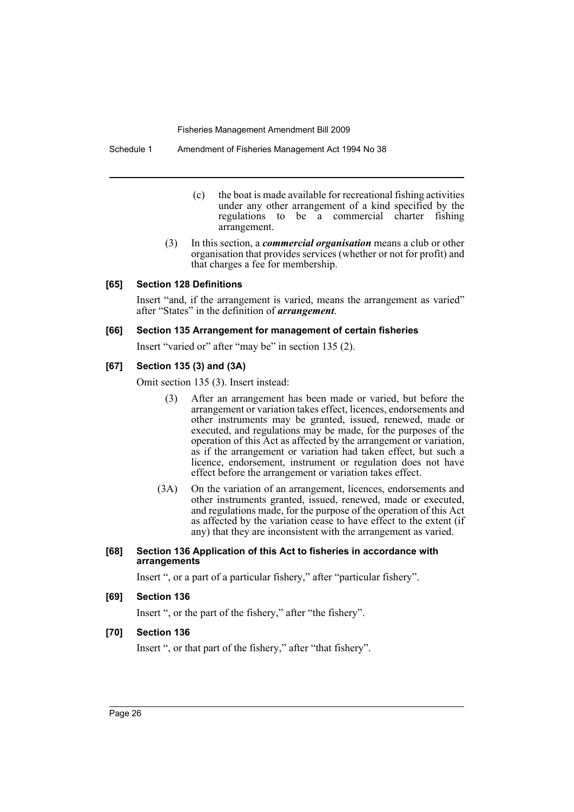- (c) the boat is made available for recreational fishing activities under any other arrangement of a kind specified by the regulations to be a commercial charter fishing arrangement.
- (3) In this section, a *commercial organisation* means a club or other organisation that provides services (whether or not for profit) and that charges a fee for membership.

#### **[65] Section 128 Definitions**

Insert "and, if the arrangement is varied, means the arrangement as varied" after "States" in the definition of *arrangement*.

#### **[66] Section 135 Arrangement for management of certain fisheries**

Insert "varied or" after "may be" in section 135 (2).

#### **[67] Section 135 (3) and (3A)**

Omit section 135 (3). Insert instead:

- (3) After an arrangement has been made or varied, but before the arrangement or variation takes effect, licences, endorsements and other instruments may be granted, issued, renewed, made or executed, and regulations may be made, for the purposes of the operation of this Act as affected by the arrangement or variation, as if the arrangement or variation had taken effect, but such a licence, endorsement, instrument or regulation does not have effect before the arrangement or variation takes effect.
- (3A) On the variation of an arrangement, licences, endorsements and other instruments granted, issued, renewed, made or executed, and regulations made, for the purpose of the operation of this Act as affected by the variation cease to have effect to the extent (if any) that they are inconsistent with the arrangement as varied.

#### **[68] Section 136 Application of this Act to fisheries in accordance with arrangements**

Insert ", or a part of a particular fishery," after "particular fishery".

#### **[69] Section 136**

Insert ", or the part of the fishery," after "the fishery".

#### **[70] Section 136**

Insert ", or that part of the fishery," after "that fishery".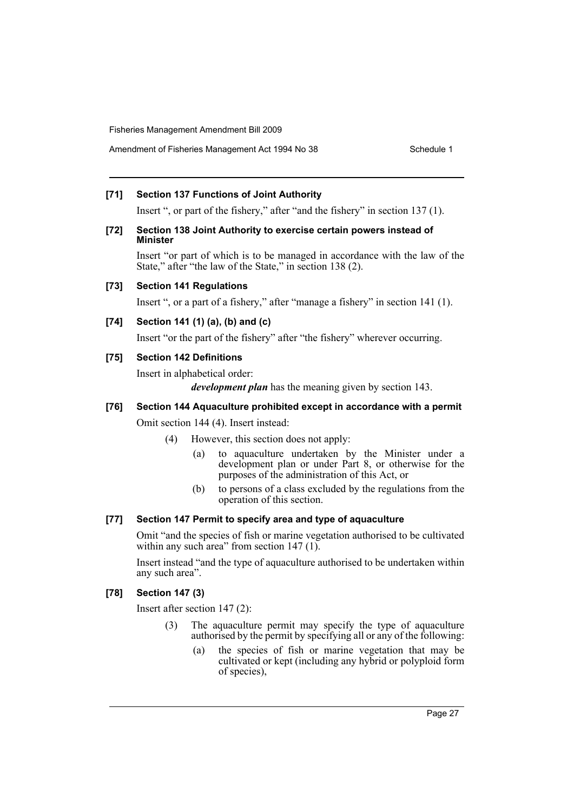# **[71] Section 137 Functions of Joint Authority**

Insert ", or part of the fishery," after "and the fishery" in section 137 (1).

#### **[72] Section 138 Joint Authority to exercise certain powers instead of Minister**

Insert "or part of which is to be managed in accordance with the law of the State," after "the law of the State," in section 138 (2).

#### **[73] Section 141 Regulations**

Insert ", or a part of a fishery," after "manage a fishery" in section 141 (1).

# **[74] Section 141 (1) (a), (b) and (c)**

Insert "or the part of the fishery" after "the fishery" wherever occurring.

### **[75] Section 142 Definitions**

Insert in alphabetical order:

*development plan* has the meaning given by section 143.

# **[76] Section 144 Aquaculture prohibited except in accordance with a permit**

Omit section 144 (4). Insert instead:

- (4) However, this section does not apply:
	- (a) to aquaculture undertaken by the Minister under a development plan or under Part 8, or otherwise for the purposes of the administration of this Act, or
	- (b) to persons of a class excluded by the regulations from the operation of this section.

# **[77] Section 147 Permit to specify area and type of aquaculture**

Omit "and the species of fish or marine vegetation authorised to be cultivated within any such area" from section 147 (1).

Insert instead "and the type of aquaculture authorised to be undertaken within any such area".

#### **[78] Section 147 (3)**

Insert after section 147 (2):

- (3) The aquaculture permit may specify the type of aquaculture authorised by the permit by specifying all or any of the following:
	- (a) the species of fish or marine vegetation that may be cultivated or kept (including any hybrid or polyploid form of species),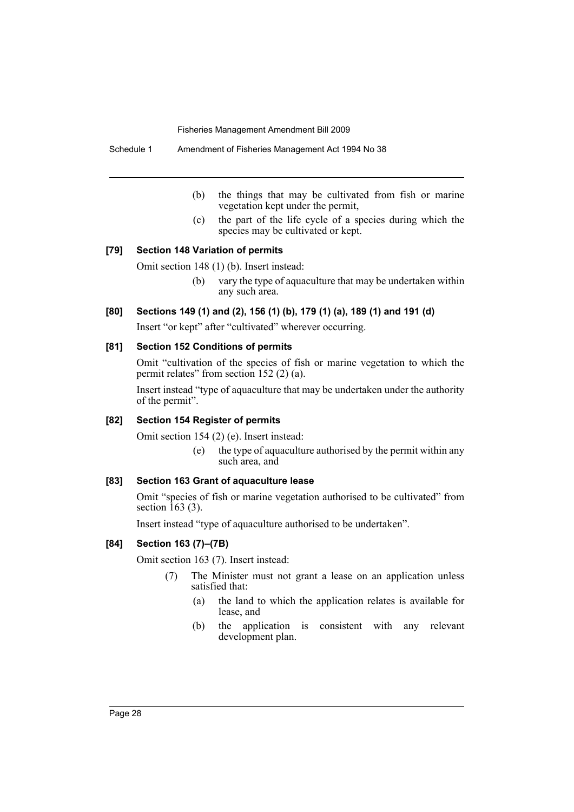Schedule 1 Amendment of Fisheries Management Act 1994 No 38

- (b) the things that may be cultivated from fish or marine vegetation kept under the permit,
- (c) the part of the life cycle of a species during which the species may be cultivated or kept.

# **[79] Section 148 Variation of permits**

Omit section 148 (1) (b). Insert instead:

(b) vary the type of aquaculture that may be undertaken within any such area.

### **[80] Sections 149 (1) and (2), 156 (1) (b), 179 (1) (a), 189 (1) and 191 (d)**

Insert "or kept" after "cultivated" wherever occurring.

#### **[81] Section 152 Conditions of permits**

Omit "cultivation of the species of fish or marine vegetation to which the permit relates" from section 152 (2) (a).

Insert instead "type of aquaculture that may be undertaken under the authority of the permit".

# **[82] Section 154 Register of permits**

Omit section 154 (2) (e). Insert instead:

(e) the type of aquaculture authorised by the permit within any such area, and

### **[83] Section 163 Grant of aquaculture lease**

Omit "species of fish or marine vegetation authorised to be cultivated" from section  $163$  (3).

Insert instead "type of aquaculture authorised to be undertaken".

# **[84] Section 163 (7)–(7B)**

Omit section 163 (7). Insert instead:

- (7) The Minister must not grant a lease on an application unless satisfied that:
	- (a) the land to which the application relates is available for lease, and
	- (b) the application is consistent with any relevant development plan.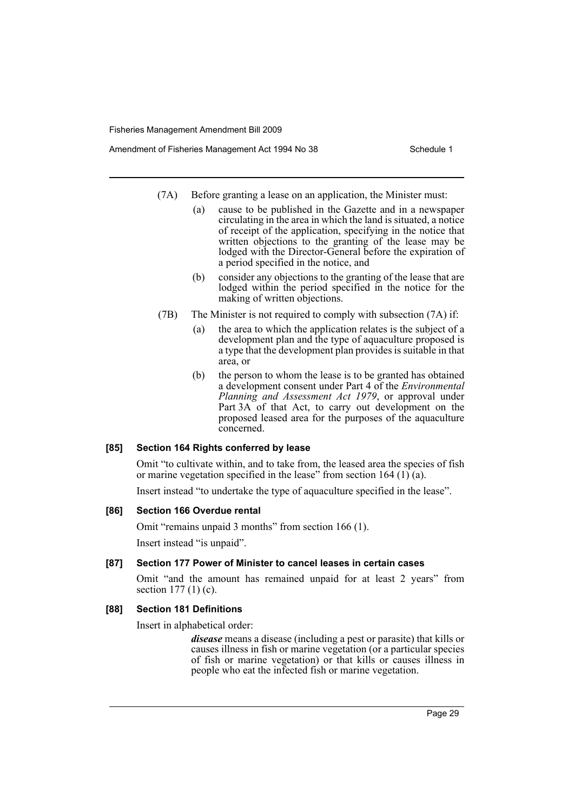- Amendment of Fisheries Management Act 1994 No 38 Schedule 1
	- (7A) Before granting a lease on an application, the Minister must:
		- (a) cause to be published in the Gazette and in a newspaper circulating in the area in which the land is situated, a notice of receipt of the application, specifying in the notice that written objections to the granting of the lease may be lodged with the Director-General before the expiration of a period specified in the notice, and
		- (b) consider any objections to the granting of the lease that are lodged within the period specified in the notice for the making of written objections.
	- (7B) The Minister is not required to comply with subsection (7A) if:
		- (a) the area to which the application relates is the subject of a development plan and the type of aquaculture proposed is a type that the development plan provides is suitable in that area, or
		- (b) the person to whom the lease is to be granted has obtained a development consent under Part 4 of the *Environmental Planning and Assessment Act 1979*, or approval under Part 3A of that Act, to carry out development on the proposed leased area for the purposes of the aquaculture concerned.

# **[85] Section 164 Rights conferred by lease**

Omit "to cultivate within, and to take from, the leased area the species of fish or marine vegetation specified in the lease<sup> $\dot{ }$ </sup> from section 164 (1) (a).

Insert instead "to undertake the type of aquaculture specified in the lease".

# **[86] Section 166 Overdue rental**

Omit "remains unpaid 3 months" from section 166 (1).

Insert instead "is unpaid".

# **[87] Section 177 Power of Minister to cancel leases in certain cases**

Omit "and the amount has remained unpaid for at least 2 years" from section 177 (1) (c).

# **[88] Section 181 Definitions**

Insert in alphabetical order:

*disease* means a disease (including a pest or parasite) that kills or causes illness in fish or marine vegetation (or a particular species of fish or marine vegetation) or that kills or causes illness in people who eat the infected fish or marine vegetation.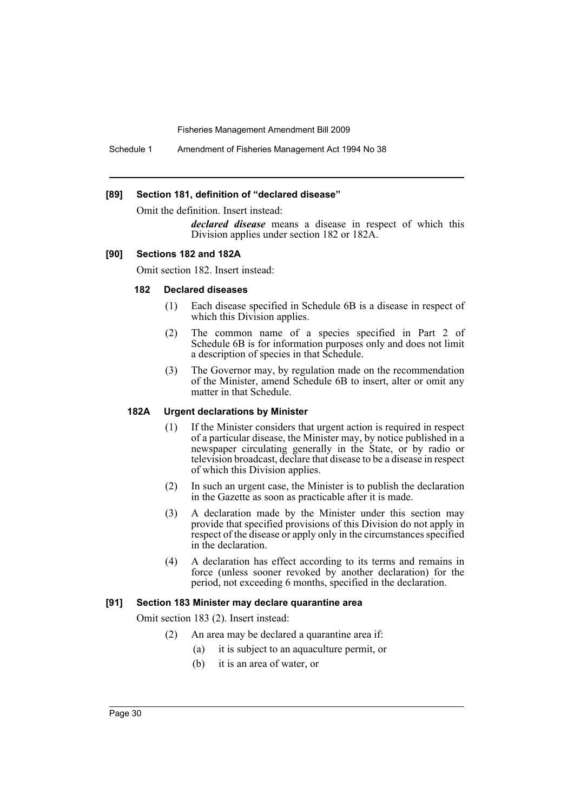Schedule 1 Amendment of Fisheries Management Act 1994 No 38

#### **[89] Section 181, definition of "declared disease"**

Omit the definition. Insert instead:

*declared disease* means a disease in respect of which this Division applies under section 182 or 182A.

#### **[90] Sections 182 and 182A**

Omit section 182. Insert instead:

#### **182 Declared diseases**

- (1) Each disease specified in Schedule 6B is a disease in respect of which this Division applies.
- (2) The common name of a species specified in Part 2 of Schedule 6B is for information purposes only and does not limit a description of species in that Schedule.
- (3) The Governor may, by regulation made on the recommendation of the Minister, amend Schedule 6B to insert, alter or omit any matter in that Schedule.

#### **182A Urgent declarations by Minister**

- (1) If the Minister considers that urgent action is required in respect of a particular disease, the Minister may, by notice published in a newspaper circulating generally in the State, or by radio or television broadcast, declare that disease to be a disease in respect of which this Division applies.
- (2) In such an urgent case, the Minister is to publish the declaration in the Gazette as soon as practicable after it is made.
- (3) A declaration made by the Minister under this section may provide that specified provisions of this Division do not apply in respect of the disease or apply only in the circumstances specified in the declaration.
- (4) A declaration has effect according to its terms and remains in force (unless sooner revoked by another declaration) for the period, not exceeding 6 months, specified in the declaration.

#### **[91] Section 183 Minister may declare quarantine area**

Omit section 183 (2). Insert instead:

- (2) An area may be declared a quarantine area if:
	- (a) it is subject to an aquaculture permit, or
	- (b) it is an area of water, or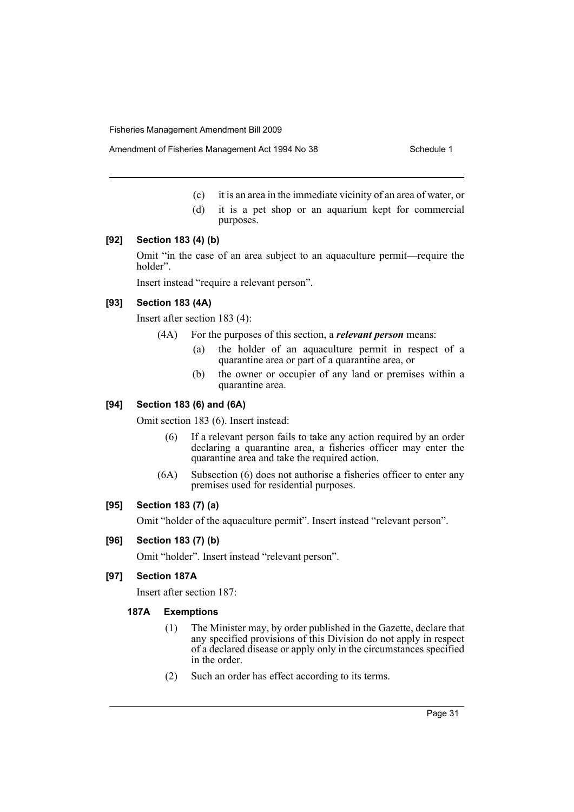Amendment of Fisheries Management Act 1994 No 38 Schedule 1

- (c) it is an area in the immediate vicinity of an area of water, or
- (d) it is a pet shop or an aquarium kept for commercial purposes.

#### **[92] Section 183 (4) (b)**

Omit "in the case of an area subject to an aquaculture permit—require the holder".

Insert instead "require a relevant person".

#### **[93] Section 183 (4A)**

Insert after section 183 (4):

- (4A) For the purposes of this section, a *relevant person* means:
	- (a) the holder of an aquaculture permit in respect of a quarantine area or part of a quarantine area, or
	- (b) the owner or occupier of any land or premises within a quarantine area.

#### **[94] Section 183 (6) and (6A)**

Omit section 183 (6). Insert instead:

- (6) If a relevant person fails to take any action required by an order declaring a quarantine area, a fisheries officer may enter the quarantine area and take the required action.
- (6A) Subsection (6) does not authorise a fisheries officer to enter any premises used for residential purposes.

#### **[95] Section 183 (7) (a)**

Omit "holder of the aquaculture permit". Insert instead "relevant person".

#### **[96] Section 183 (7) (b)**

Omit "holder". Insert instead "relevant person".

### **[97] Section 187A**

Insert after section 187:

#### **187A Exemptions**

- (1) The Minister may, by order published in the Gazette, declare that any specified provisions of this Division do not apply in respect of a declared disease or apply only in the circumstances specified in the order.
- (2) Such an order has effect according to its terms.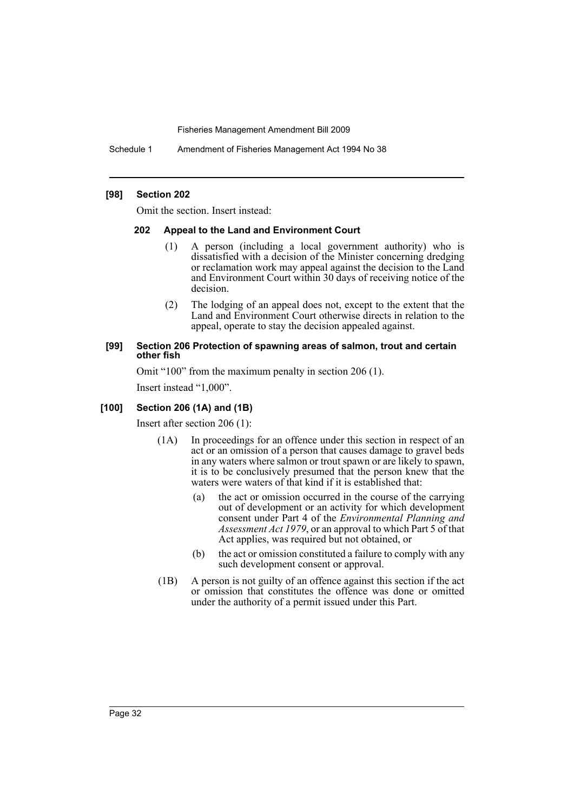Schedule 1 Amendment of Fisheries Management Act 1994 No 38

#### **[98] Section 202**

Omit the section. Insert instead:

#### **202 Appeal to the Land and Environment Court**

- (1) A person (including a local government authority) who is dissatisfied with a decision of the Minister concerning dredging or reclamation work may appeal against the decision to the Land and Environment Court within 30 days of receiving notice of the decision.
- (2) The lodging of an appeal does not, except to the extent that the Land and Environment Court otherwise directs in relation to the appeal, operate to stay the decision appealed against.

#### **[99] Section 206 Protection of spawning areas of salmon, trout and certain other fish**

Omit "100" from the maximum penalty in section 206 (1). Insert instead "1,000".

# **[100] Section 206 (1A) and (1B)**

Insert after section 206 (1):

- (1A) In proceedings for an offence under this section in respect of an act or an omission of a person that causes damage to gravel beds in any waters where salmon or trout spawn or are likely to spawn, it is to be conclusively presumed that the person knew that the waters were waters of that kind if it is established that:
	- (a) the act or omission occurred in the course of the carrying out of development or an activity for which development consent under Part 4 of the *Environmental Planning and Assessment Act 1979*, or an approval to which Part 5 of that Act applies, was required but not obtained, or
	- (b) the act or omission constituted a failure to comply with any such development consent or approval.
- (1B) A person is not guilty of an offence against this section if the act or omission that constitutes the offence was done or omitted under the authority of a permit issued under this Part.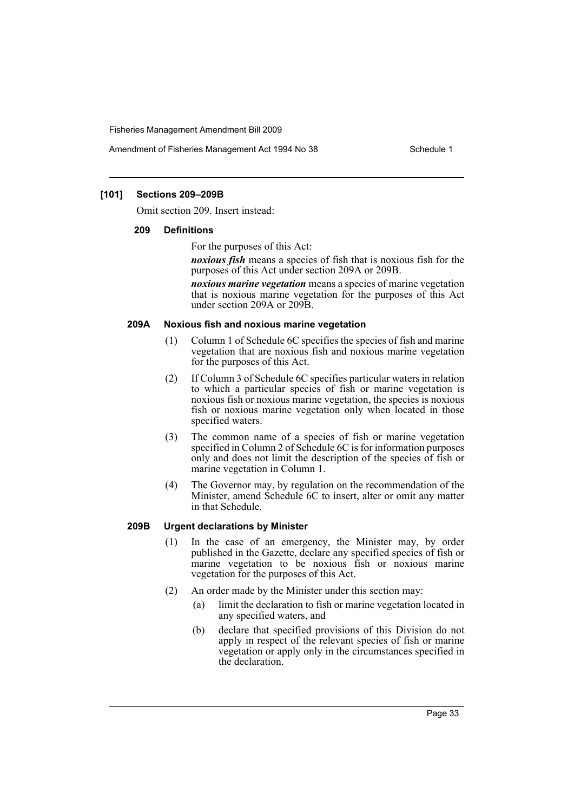Amendment of Fisheries Management Act 1994 No 38 Schedule 1

### **[101] Sections 209–209B**

Omit section 209. Insert instead:

#### **209 Definitions**

For the purposes of this Act:

*noxious fish* means a species of fish that is noxious fish for the purposes of this Act under section 209A or 209B.

*noxious marine vegetation* means a species of marine vegetation that is noxious marine vegetation for the purposes of this Act under section 209A or 209B.

#### **209A Noxious fish and noxious marine vegetation**

- (1) Column 1 of Schedule 6C specifies the species of fish and marine vegetation that are noxious fish and noxious marine vegetation for the purposes of this Act.
- (2) If Column 3 of Schedule 6C specifies particular waters in relation to which a particular species of fish or marine vegetation is noxious fish or noxious marine vegetation, the species is noxious fish or noxious marine vegetation only when located in those specified waters.
- (3) The common name of a species of fish or marine vegetation specified in Column 2 of Schedule 6C is for information purposes only and does not limit the description of the species of fish or marine vegetation in Column 1.
- (4) The Governor may, by regulation on the recommendation of the Minister, amend Schedule 6C to insert, alter or omit any matter in that Schedule.

#### **209B Urgent declarations by Minister**

- (1) In the case of an emergency, the Minister may, by order published in the Gazette, declare any specified species of fish or marine vegetation to be noxious fish or noxious marine vegetation for the purposes of this Act.
- (2) An order made by the Minister under this section may:
	- (a) limit the declaration to fish or marine vegetation located in any specified waters, and
	- (b) declare that specified provisions of this Division do not apply in respect of the relevant species of fish or marine vegetation or apply only in the circumstances specified in the declaration.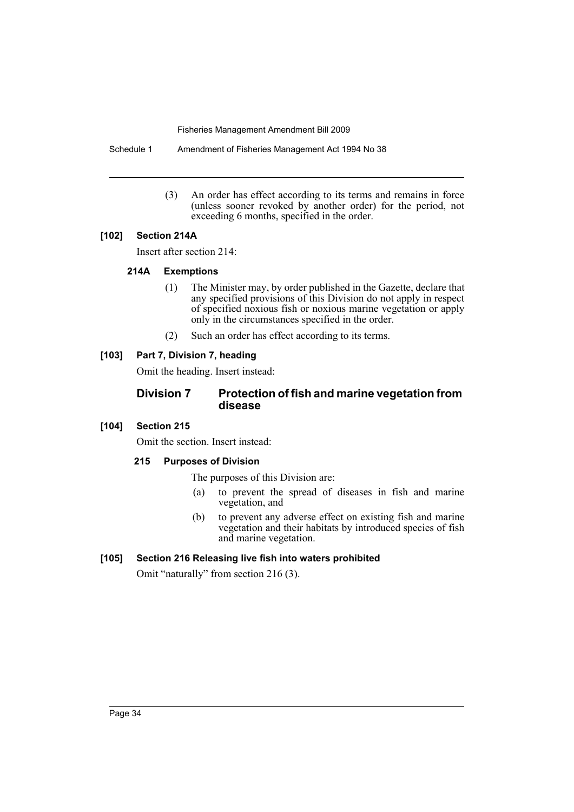Schedule 1 Amendment of Fisheries Management Act 1994 No 38

(3) An order has effect according to its terms and remains in force (unless sooner revoked by another order) for the period, not exceeding 6 months, specified in the order.

# **[102] Section 214A**

Insert after section 214:

# **214A Exemptions**

- (1) The Minister may, by order published in the Gazette, declare that any specified provisions of this Division do not apply in respect of specified noxious fish or noxious marine vegetation or apply only in the circumstances specified in the order.
- (2) Such an order has effect according to its terms.

# **[103] Part 7, Division 7, heading**

Omit the heading. Insert instead:

# **Division 7 Protection of fish and marine vegetation from disease**

# **[104] Section 215**

Omit the section. Insert instead:

# **215 Purposes of Division**

The purposes of this Division are:

- (a) to prevent the spread of diseases in fish and marine vegetation, and
- (b) to prevent any adverse effect on existing fish and marine vegetation and their habitats by introduced species of fish and marine vegetation.

# **[105] Section 216 Releasing live fish into waters prohibited**

Omit "naturally" from section 216 (3).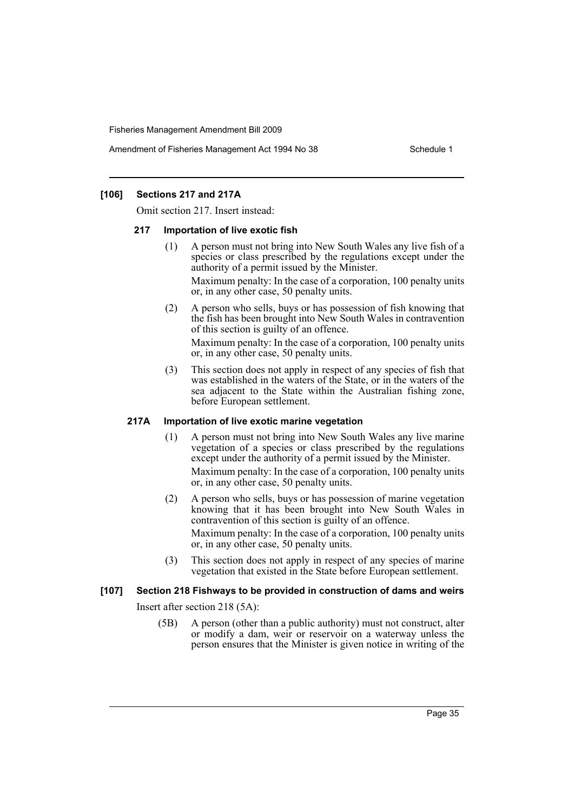Amendment of Fisheries Management Act 1994 No 38 Schedule 1

### **[106] Sections 217 and 217A**

Omit section 217. Insert instead:

#### **217 Importation of live exotic fish**

(1) A person must not bring into New South Wales any live fish of a species or class prescribed by the regulations except under the authority of a permit issued by the Minister.

Maximum penalty: In the case of a corporation, 100 penalty units or, in any other case, 50 penalty units.

(2) A person who sells, buys or has possession of fish knowing that the fish has been brought into New South Wales in contravention of this section is guilty of an offence.

Maximum penalty: In the case of a corporation, 100 penalty units or, in any other case, 50 penalty units.

(3) This section does not apply in respect of any species of fish that was established in the waters of the State, or in the waters of the sea adjacent to the State within the Australian fishing zone, before European settlement.

#### **217A Importation of live exotic marine vegetation**

- (1) A person must not bring into New South Wales any live marine vegetation of a species or class prescribed by the regulations except under the authority of a permit issued by the Minister. Maximum penalty: In the case of a corporation, 100 penalty units or, in any other case, 50 penalty units.
- (2) A person who sells, buys or has possession of marine vegetation knowing that it has been brought into New South Wales in contravention of this section is guilty of an offence.

Maximum penalty: In the case of a corporation, 100 penalty units or, in any other case, 50 penalty units.

(3) This section does not apply in respect of any species of marine vegetation that existed in the State before European settlement.

# **[107] Section 218 Fishways to be provided in construction of dams and weirs**

Insert after section 218 (5A):

(5B) A person (other than a public authority) must not construct, alter or modify a dam, weir or reservoir on a waterway unless the person ensures that the Minister is given notice in writing of the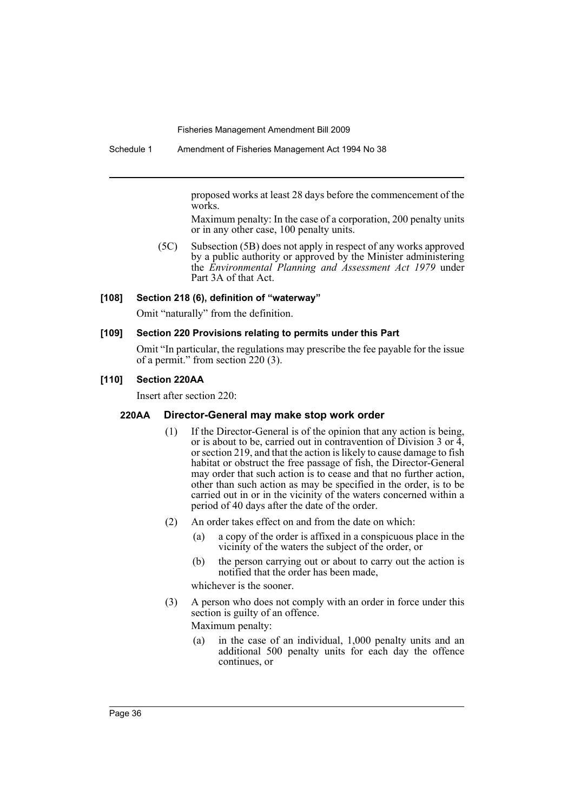proposed works at least 28 days before the commencement of the works.

Maximum penalty: In the case of a corporation, 200 penalty units or in any other case, 100 penalty units.

(5C) Subsection (5B) does not apply in respect of any works approved by a public authority or approved by the Minister administering the *Environmental Planning and Assessment Act 1979* under Part 3A of that Act.

#### **[108] Section 218 (6), definition of "waterway"**

Omit "naturally" from the definition.

### **[109] Section 220 Provisions relating to permits under this Part**

Omit "In particular, the regulations may prescribe the fee payable for the issue of a permit." from section 220 (3).

### **[110] Section 220AA**

Insert after section 220:

#### **220AA Director-General may make stop work order**

- (1) If the Director-General is of the opinion that any action is being, or is about to be, carried out in contravention of Division 3 or  $\overline{4}$ , or section 219, and that the action is likely to cause damage to fish habitat or obstruct the free passage of fish, the Director-General may order that such action is to cease and that no further action, other than such action as may be specified in the order, is to be carried out in or in the vicinity of the waters concerned within a period of 40 days after the date of the order.
- (2) An order takes effect on and from the date on which:
	- (a) a copy of the order is affixed in a conspicuous place in the vicinity of the waters the subject of the order, or
	- (b) the person carrying out or about to carry out the action is notified that the order has been made,

whichever is the sooner.

(3) A person who does not comply with an order in force under this section is guilty of an offence.

Maximum penalty:

(a) in the case of an individual, 1,000 penalty units and an additional 500 penalty units for each day the offence continues, or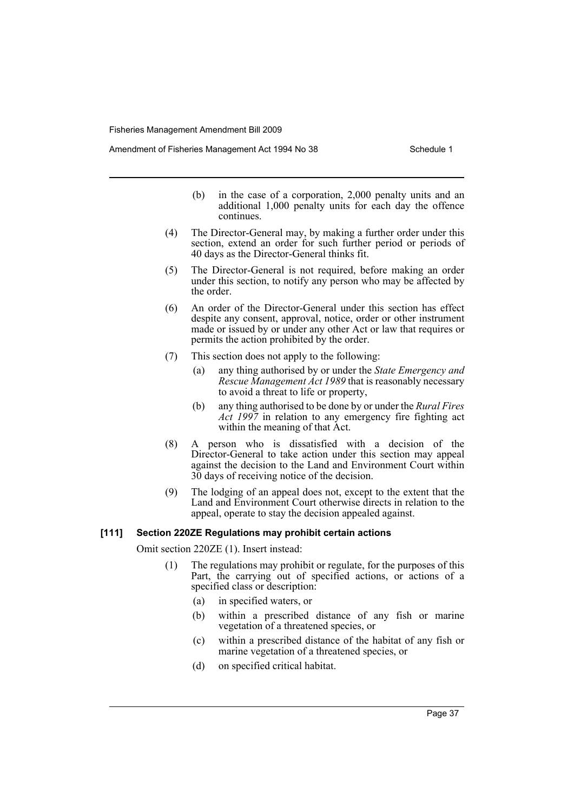Amendment of Fisheries Management Act 1994 No 38 Schedule 1

- (b) in the case of a corporation, 2,000 penalty units and an additional 1,000 penalty units for each day the offence continues.
- (4) The Director-General may, by making a further order under this section, extend an order for such further period or periods of 40 days as the Director-General thinks fit.
- (5) The Director-General is not required, before making an order under this section, to notify any person who may be affected by the order.
- (6) An order of the Director-General under this section has effect despite any consent, approval, notice, order or other instrument made or issued by or under any other Act or law that requires or permits the action prohibited by the order.
- (7) This section does not apply to the following:
	- (a) any thing authorised by or under the *State Emergency and Rescue Management Act 1989* that is reasonably necessary to avoid a threat to life or property,
	- (b) any thing authorised to be done by or under the *Rural Fires Act 1997* in relation to any emergency fire fighting act within the meaning of that Act.
- (8) A person who is dissatisfied with a decision of the Director-General to take action under this section may appeal against the decision to the Land and Environment Court within 30 days of receiving notice of the decision.
- (9) The lodging of an appeal does not, except to the extent that the Land and Environment Court otherwise directs in relation to the appeal, operate to stay the decision appealed against.

#### **[111] Section 220ZE Regulations may prohibit certain actions**

Omit section 220ZE (1). Insert instead:

- (1) The regulations may prohibit or regulate, for the purposes of this Part, the carrying out of specified actions, or actions of a specified class or description:
	- (a) in specified waters, or
	- (b) within a prescribed distance of any fish or marine vegetation of a threatened species, or
	- (c) within a prescribed distance of the habitat of any fish or marine vegetation of a threatened species, or
	- (d) on specified critical habitat.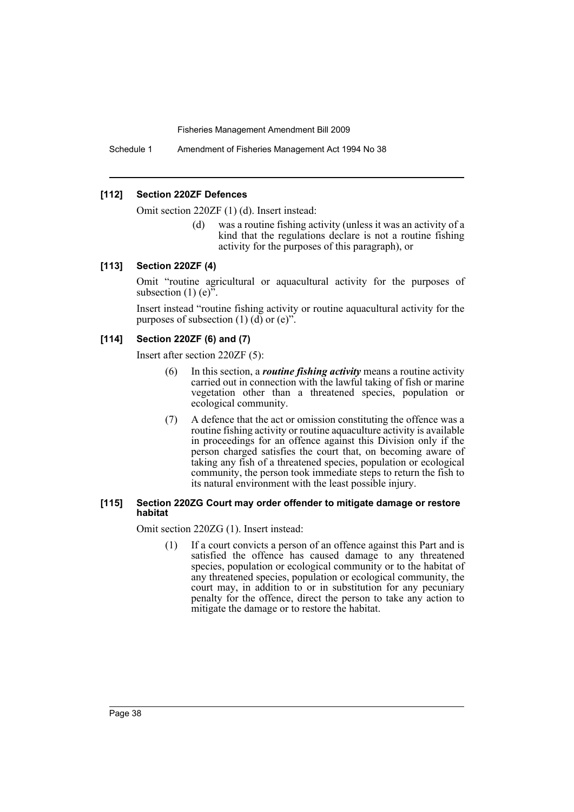Schedule 1 Amendment of Fisheries Management Act 1994 No 38

#### **[112] Section 220ZF Defences**

Omit section 220ZF (1) (d). Insert instead:

(d) was a routine fishing activity (unless it was an activity of a kind that the regulations declare is not a routine fishing activity for the purposes of this paragraph), or

#### **[113] Section 220ZF (4)**

Omit "routine agricultural or aquacultural activity for the purposes of subsection  $(1)$  (e)<sup> $\frac{5}{2}$ </sup>.

Insert instead "routine fishing activity or routine aquacultural activity for the purposes of subsection  $(1)$   $(d)$  or  $(e)$ ".

#### **[114] Section 220ZF (6) and (7)**

Insert after section 220ZF (5):

- (6) In this section, a *routine fishing activity* means a routine activity carried out in connection with the lawful taking of fish or marine vegetation other than a threatened species, population or ecological community.
- (7) A defence that the act or omission constituting the offence was a routine fishing activity or routine aquaculture activity is available in proceedings for an offence against this Division only if the person charged satisfies the court that, on becoming aware of taking any fish of a threatened species, population or ecological community, the person took immediate steps to return the fish to its natural environment with the least possible injury.

#### **[115] Section 220ZG Court may order offender to mitigate damage or restore habitat**

Omit section 220ZG (1). Insert instead:

(1) If a court convicts a person of an offence against this Part and is satisfied the offence has caused damage to any threatened species, population or ecological community or to the habitat of any threatened species, population or ecological community, the court may, in addition to or in substitution for any pecuniary penalty for the offence, direct the person to take any action to mitigate the damage or to restore the habitat.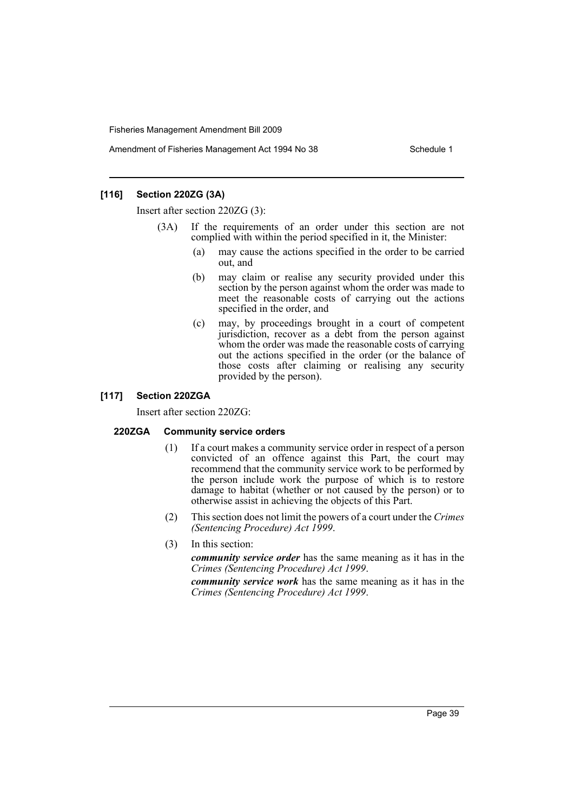Amendment of Fisheries Management Act 1994 No 38 Schedule 1

### **[116] Section 220ZG (3A)**

Insert after section 220ZG (3):

- (3A) If the requirements of an order under this section are not complied with within the period specified in it, the Minister:
	- (a) may cause the actions specified in the order to be carried out, and
	- (b) may claim or realise any security provided under this section by the person against whom the order was made to meet the reasonable costs of carrying out the actions specified in the order, and
	- (c) may, by proceedings brought in a court of competent jurisdiction, recover as a debt from the person against whom the order was made the reasonable costs of carrying out the actions specified in the order (or the balance of those costs after claiming or realising any security provided by the person).

#### **[117] Section 220ZGA**

Insert after section 220ZG:

#### **220ZGA Community service orders**

- (1) If a court makes a community service order in respect of a person convicted of an offence against this Part, the court may recommend that the community service work to be performed by the person include work the purpose of which is to restore damage to habitat (whether or not caused by the person) or to otherwise assist in achieving the objects of this Part.
- (2) This section does not limit the powers of a court under the *Crimes (Sentencing Procedure) Act 1999*.
- (3) In this section:

*community service order* has the same meaning as it has in the *Crimes (Sentencing Procedure) Act 1999*.

*community service work* has the same meaning as it has in the *Crimes (Sentencing Procedure) Act 1999*.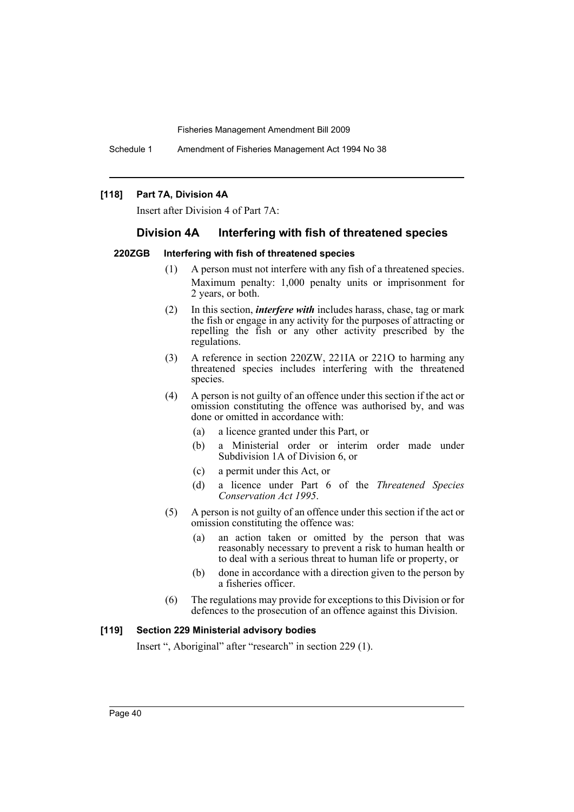Schedule 1 Amendment of Fisheries Management Act 1994 No 38

#### **[118] Part 7A, Division 4A**

Insert after Division 4 of Part 7A:

### **Division 4A Interfering with fish of threatened species**

#### **220ZGB Interfering with fish of threatened species**

- (1) A person must not interfere with any fish of a threatened species. Maximum penalty: 1,000 penalty units or imprisonment for 2 years, or both.
- (2) In this section, *interfere with* includes harass, chase, tag or mark the fish or engage in any activity for the purposes of attracting or repelling the fish or any other activity prescribed by the regulations.
- (3) A reference in section 220ZW, 221IA or 221O to harming any threatened species includes interfering with the threatened species.
- (4) A person is not guilty of an offence under this section if the act or omission constituting the offence was authorised by, and was done or omitted in accordance with:
	- (a) a licence granted under this Part, or
	- (b) a Ministerial order or interim order made under Subdivision 1A of Division 6, or
	- (c) a permit under this Act, or
	- (d) a licence under Part 6 of the *Threatened Species Conservation Act 1995*.
- (5) A person is not guilty of an offence under this section if the act or omission constituting the offence was:
	- (a) an action taken or omitted by the person that was reasonably necessary to prevent a risk to human health or to deal with a serious threat to human life or property, or
	- (b) done in accordance with a direction given to the person by a fisheries officer.
- (6) The regulations may provide for exceptions to this Division or for defences to the prosecution of an offence against this Division.

#### **[119] Section 229 Ministerial advisory bodies**

Insert ", Aboriginal" after "research" in section 229 (1).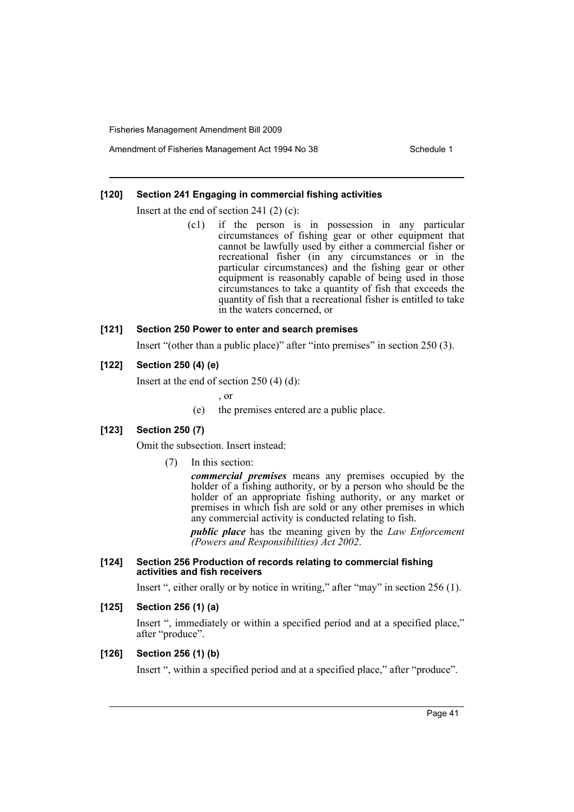Amendment of Fisheries Management Act 1994 No 38 Schedule 1

### **[120] Section 241 Engaging in commercial fishing activities**

Insert at the end of section 241 (2) (c):

(c1) if the person is in possession in any particular circumstances of fishing gear or other equipment that cannot be lawfully used by either a commercial fisher or recreational fisher (in any circumstances or in the particular circumstances) and the fishing gear or other equipment is reasonably capable of being used in those circumstances to take a quantity of fish that exceeds the quantity of fish that a recreational fisher is entitled to take in the waters concerned, or

### **[121] Section 250 Power to enter and search premises**

Insert "(other than a public place)" after "into premises" in section 250 (3).

### **[122] Section 250 (4) (e)**

Insert at the end of section 250 (4) (d):

, or

(e) the premises entered are a public place.

# **[123] Section 250 (7)**

Omit the subsection. Insert instead:

(7) In this section:

*commercial premises* means any premises occupied by the holder of a fishing authority, or by a person who should be the holder of an appropriate fishing authority, or any market or premises in which fish are sold or any other premises in which any commercial activity is conducted relating to fish.

*public place* has the meaning given by the *Law Enforcement (Powers and Responsibilities) Act 2002*.

#### **[124] Section 256 Production of records relating to commercial fishing activities and fish receivers**

Insert ", either orally or by notice in writing," after "may" in section 256 (1).

### **[125] Section 256 (1) (a)**

Insert ", immediately or within a specified period and at a specified place," after "produce".

#### **[126] Section 256 (1) (b)**

Insert ", within a specified period and at a specified place," after "produce".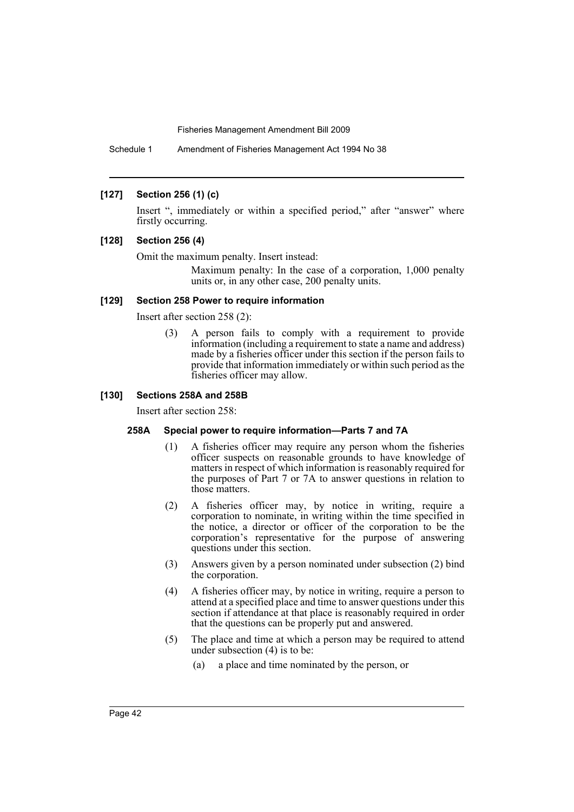Schedule 1 Amendment of Fisheries Management Act 1994 No 38

### **[127] Section 256 (1) (c)**

Insert ", immediately or within a specified period," after "answer" where firstly occurring.

#### **[128] Section 256 (4)**

Omit the maximum penalty. Insert instead:

Maximum penalty: In the case of a corporation, 1,000 penalty units or, in any other case, 200 penalty units.

#### **[129] Section 258 Power to require information**

Insert after section 258 (2):

(3) A person fails to comply with a requirement to provide information (including a requirement to state a name and address) made by a fisheries officer under this section if the person fails to provide that information immediately or within such period as the fisheries officer may allow.

### **[130] Sections 258A and 258B**

Insert after section 258:

# **258A Special power to require information—Parts 7 and 7A**

- (1) A fisheries officer may require any person whom the fisheries officer suspects on reasonable grounds to have knowledge of matters in respect of which information is reasonably required for the purposes of Part 7 or 7A to answer questions in relation to those matters.
- (2) A fisheries officer may, by notice in writing, require a corporation to nominate, in writing within the time specified in the notice, a director or officer of the corporation to be the corporation's representative for the purpose of answering questions under this section.
- (3) Answers given by a person nominated under subsection (2) bind the corporation.
- (4) A fisheries officer may, by notice in writing, require a person to attend at a specified place and time to answer questions under this section if attendance at that place is reasonably required in order that the questions can be properly put and answered.
- (5) The place and time at which a person may be required to attend under subsection (4) is to be:
	- (a) a place and time nominated by the person, or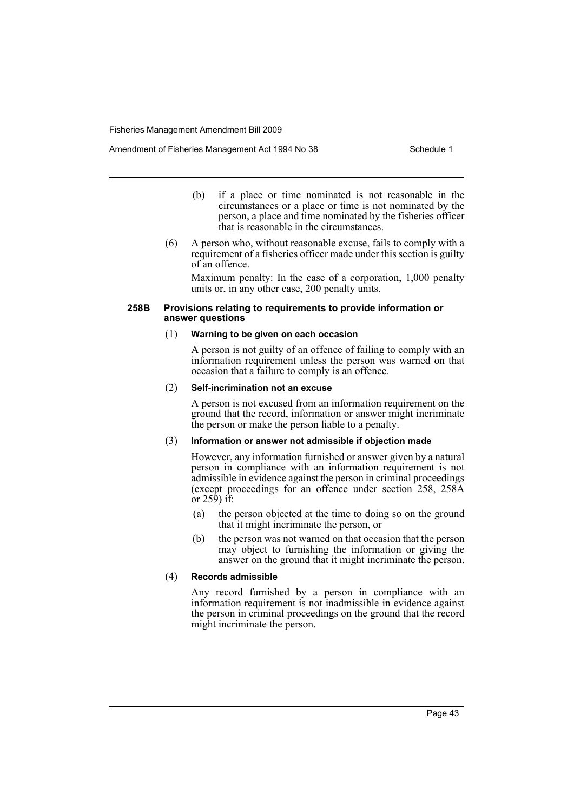Amendment of Fisheries Management Act 1994 No 38 Schedule 1

- (b) if a place or time nominated is not reasonable in the circumstances or a place or time is not nominated by the person, a place and time nominated by the fisheries officer that is reasonable in the circumstances.
- (6) A person who, without reasonable excuse, fails to comply with a requirement of a fisheries officer made under this section is guilty of an offence.

Maximum penalty: In the case of a corporation, 1,000 penalty units or, in any other case, 200 penalty units.

#### **258B Provisions relating to requirements to provide information or answer questions**

#### (1) **Warning to be given on each occasion**

A person is not guilty of an offence of failing to comply with an information requirement unless the person was warned on that occasion that a failure to comply is an offence.

#### (2) **Self-incrimination not an excuse**

A person is not excused from an information requirement on the ground that the record, information or answer might incriminate the person or make the person liable to a penalty.

#### (3) **Information or answer not admissible if objection made**

However, any information furnished or answer given by a natural person in compliance with an information requirement is not admissible in evidence against the person in criminal proceedings (except proceedings for an offence under section 258, 258A or  $25\hat{9}$ ) if:

- (a) the person objected at the time to doing so on the ground that it might incriminate the person, or
- (b) the person was not warned on that occasion that the person may object to furnishing the information or giving the answer on the ground that it might incriminate the person.

#### (4) **Records admissible**

Any record furnished by a person in compliance with an information requirement is not inadmissible in evidence against the person in criminal proceedings on the ground that the record might incriminate the person.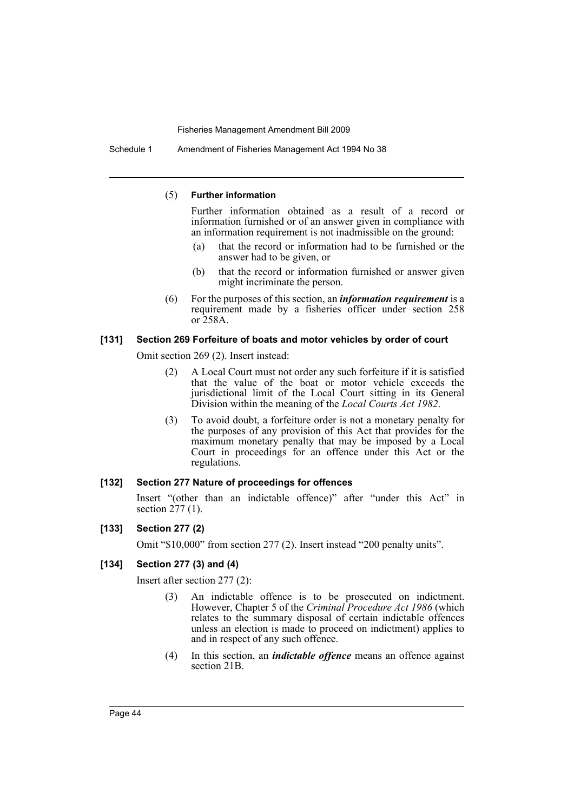Schedule 1 Amendment of Fisheries Management Act 1994 No 38

#### (5) **Further information**

Further information obtained as a result of a record or information furnished or of an answer given in compliance with an information requirement is not inadmissible on the ground:

- (a) that the record or information had to be furnished or the answer had to be given, or
- (b) that the record or information furnished or answer given might incriminate the person.
- (6) For the purposes of this section, an *information requirement* is a requirement made by a fisheries officer under section 258 or 258A.

#### **[131] Section 269 Forfeiture of boats and motor vehicles by order of court**

Omit section 269 (2). Insert instead:

- (2) A Local Court must not order any such forfeiture if it is satisfied that the value of the boat or motor vehicle exceeds the jurisdictional limit of the Local Court sitting in its General Division within the meaning of the *Local Courts Act 1982*.
- (3) To avoid doubt, a forfeiture order is not a monetary penalty for the purposes of any provision of this Act that provides for the maximum monetary penalty that may be imposed by a Local Court in proceedings for an offence under this Act or the regulations.

#### **[132] Section 277 Nature of proceedings for offences**

Insert "(other than an indictable offence)" after "under this Act" in section 277 (1).

#### **[133] Section 277 (2)**

Omit "\$10,000" from section 277 (2). Insert instead "200 penalty units".

# **[134] Section 277 (3) and (4)**

Insert after section 277 (2):

- (3) An indictable offence is to be prosecuted on indictment. However, Chapter 5 of the *Criminal Procedure Act 1986* (which relates to the summary disposal of certain indictable offences unless an election is made to proceed on indictment) applies to and in respect of any such offence.
- (4) In this section, an *indictable offence* means an offence against section 21B.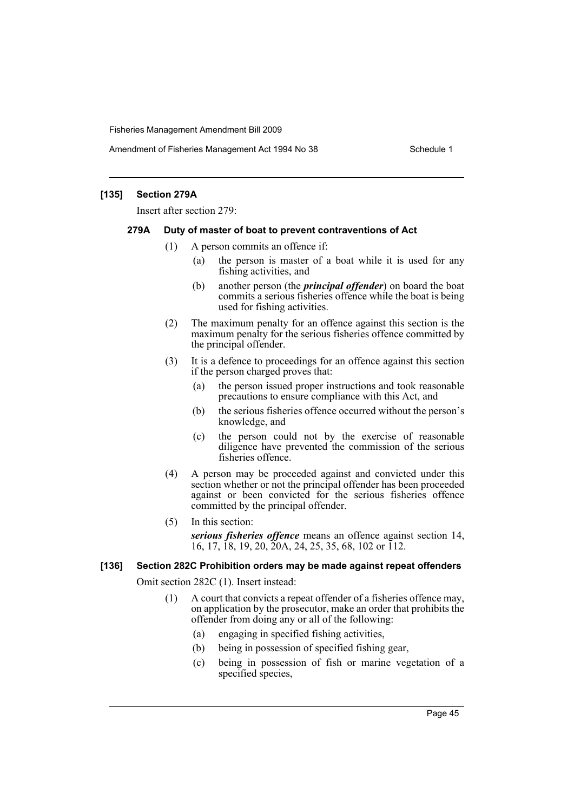Amendment of Fisheries Management Act 1994 No 38 Schedule 1

#### **[135] Section 279A**

Insert after section 279:

#### **279A Duty of master of boat to prevent contraventions of Act**

- (1) A person commits an offence if:
	- (a) the person is master of a boat while it is used for any fishing activities, and
	- (b) another person (the *principal offender*) on board the boat commits a serious fisheries offence while the boat is being used for fishing activities.
- (2) The maximum penalty for an offence against this section is the maximum penalty for the serious fisheries offence committed by the principal offender.
- (3) It is a defence to proceedings for an offence against this section if the person charged proves that:
	- (a) the person issued proper instructions and took reasonable precautions to ensure compliance with this Act, and
	- (b) the serious fisheries offence occurred without the person's knowledge, and
	- (c) the person could not by the exercise of reasonable diligence have prevented the commission of the serious fisheries offence.
- (4) A person may be proceeded against and convicted under this section whether or not the principal offender has been proceeded against or been convicted for the serious fisheries offence committed by the principal offender.
- (5) In this section:

*serious fisheries offence* means an offence against section 14, 16, 17, 18, 19, 20, 20A, 24, 25, 35, 68, 102 or 112.

#### **[136] Section 282C Prohibition orders may be made against repeat offenders**

Omit section 282C (1). Insert instead:

- (1) A court that convicts a repeat offender of a fisheries offence may, on application by the prosecutor, make an order that prohibits the offender from doing any or all of the following:
	- (a) engaging in specified fishing activities,
	- (b) being in possession of specified fishing gear,
	- (c) being in possession of fish or marine vegetation of a specified species,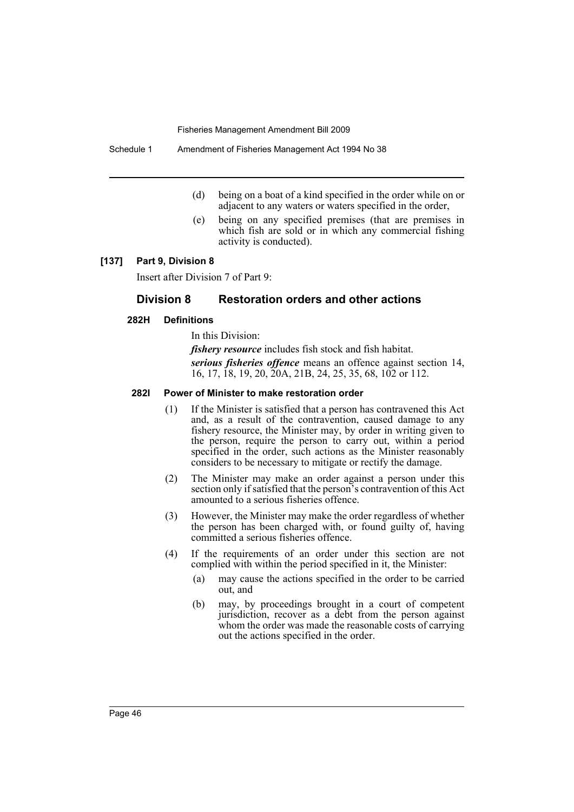Schedule 1 Amendment of Fisheries Management Act 1994 No 38

- (d) being on a boat of a kind specified in the order while on or adjacent to any waters or waters specified in the order,
- (e) being on any specified premises (that are premises in which fish are sold or in which any commercial fishing activity is conducted).

#### **[137] Part 9, Division 8**

Insert after Division 7 of Part 9:

### **Division 8 Restoration orders and other actions**

#### **282H Definitions**

In this Division:

*fishery resource* includes fish stock and fish habitat.

*serious fisheries offence* means an offence against section 14, 16, 17, 18, 19, 20, 20A, 21B, 24, 25, 35, 68, 102 or 112.

#### **282I Power of Minister to make restoration order**

- (1) If the Minister is satisfied that a person has contravened this Act and, as a result of the contravention, caused damage to any fishery resource, the Minister may, by order in writing given to the person, require the person to carry out, within a period specified in the order, such actions as the Minister reasonably considers to be necessary to mitigate or rectify the damage.
- (2) The Minister may make an order against a person under this section only if satisfied that the person's contravention of this Act amounted to a serious fisheries offence.
- (3) However, the Minister may make the order regardless of whether the person has been charged with, or found guilty of, having committed a serious fisheries offence.
- (4) If the requirements of an order under this section are not complied with within the period specified in it, the Minister:
	- (a) may cause the actions specified in the order to be carried out, and
	- (b) may, by proceedings brought in a court of competent jurisdiction, recover as a debt from the person against whom the order was made the reasonable costs of carrying out the actions specified in the order.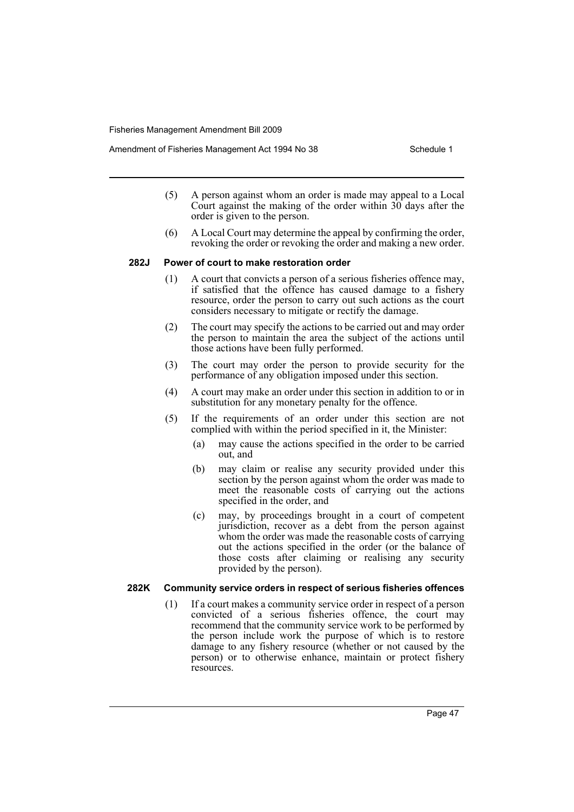- (5) A person against whom an order is made may appeal to a Local Court against the making of the order within  $30$  days after the order is given to the person.
- (6) A Local Court may determine the appeal by confirming the order, revoking the order or revoking the order and making a new order.

#### **282J Power of court to make restoration order**

- (1) A court that convicts a person of a serious fisheries offence may, if satisfied that the offence has caused damage to a fishery resource, order the person to carry out such actions as the court considers necessary to mitigate or rectify the damage.
- (2) The court may specify the actions to be carried out and may order the person to maintain the area the subject of the actions until those actions have been fully performed.
- (3) The court may order the person to provide security for the performance of any obligation imposed under this section.
- (4) A court may make an order under this section in addition to or in substitution for any monetary penalty for the offence.
- (5) If the requirements of an order under this section are not complied with within the period specified in it, the Minister:
	- (a) may cause the actions specified in the order to be carried out, and
	- (b) may claim or realise any security provided under this section by the person against whom the order was made to meet the reasonable costs of carrying out the actions specified in the order, and
	- (c) may, by proceedings brought in a court of competent jurisdiction, recover as a debt from the person against whom the order was made the reasonable costs of carrying out the actions specified in the order (or the balance of those costs after claiming or realising any security provided by the person).

#### **282K Community service orders in respect of serious fisheries offences**

(1) If a court makes a community service order in respect of a person convicted of a serious fisheries offence, the court may recommend that the community service work to be performed by the person include work the purpose of which is to restore damage to any fishery resource (whether or not caused by the person) or to otherwise enhance, maintain or protect fishery resources.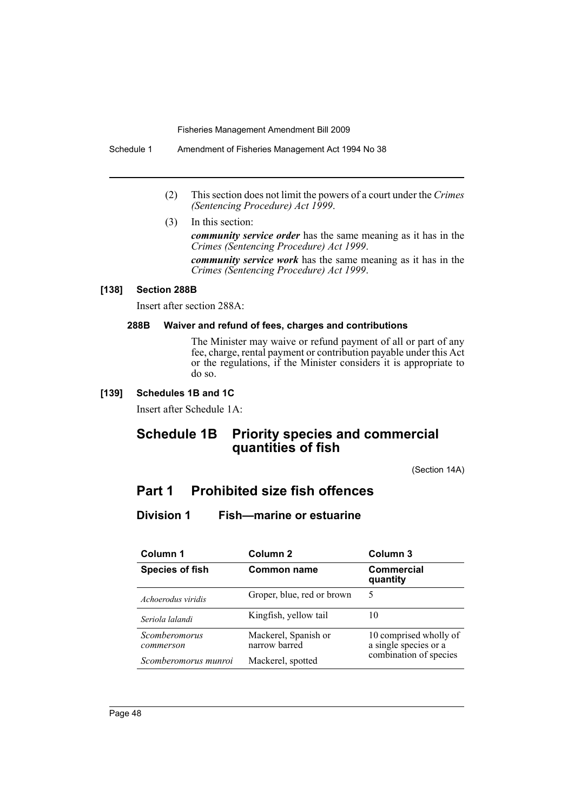Schedule 1 Amendment of Fisheries Management Act 1994 No 38

- (2) This section does not limit the powers of a court under the *Crimes (Sentencing Procedure) Act 1999*.
- (3) In this section:

*community service order* has the same meaning as it has in the *Crimes (Sentencing Procedure) Act 1999*.

*community service work* has the same meaning as it has in the *Crimes (Sentencing Procedure) Act 1999*.

# **[138] Section 288B**

Insert after section 288A:

#### **288B Waiver and refund of fees, charges and contributions**

The Minister may waive or refund payment of all or part of any fee, charge, rental payment or contribution payable under this Act or the regulations, if the Minister considers it is appropriate to do so.

### **[139] Schedules 1B and 1C**

Insert after Schedule 1A:

# **Schedule 1B Priority species and commercial quantities of fish**

(Section 14A)

# **Part 1 Prohibited size fish offences**

# **Division 1 Fish—marine or estuarine**

| Column 1                   | Column <sub>2</sub>                   | Column <sub>3</sub>                             |
|----------------------------|---------------------------------------|-------------------------------------------------|
| <b>Species of fish</b>     | <b>Common name</b>                    | <b>Commercial</b><br>quantity                   |
| Achoerodus viridis         | Groper, blue, red or brown            | 5                                               |
| Seriola lalandi            | Kingfish, yellow tail                 | 10                                              |
| Scomberomorus<br>commerson | Mackerel, Spanish or<br>narrow barred | 10 comprised wholly of<br>a single species or a |
| Scomberomorus munroi       | Mackerel, spotted                     | combination of species                          |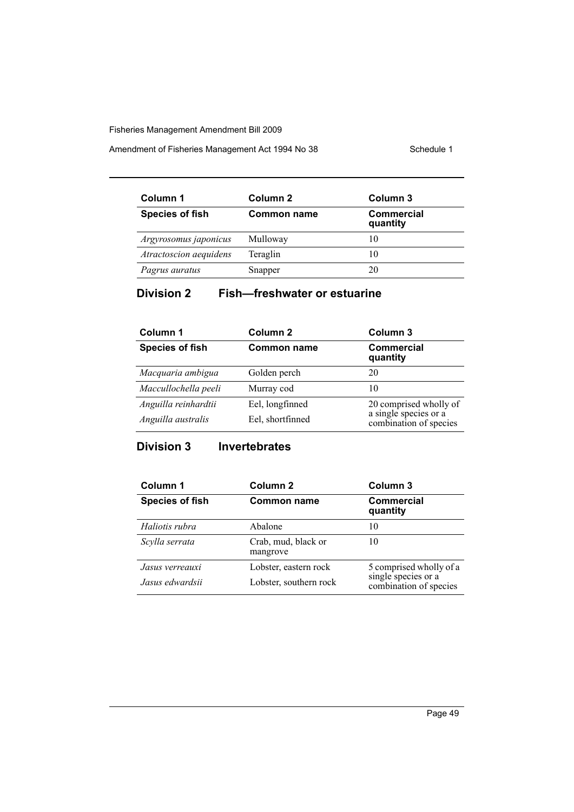Amendment of Fisheries Management Act 1994 No 38 Schedule 1

| Column 1               | Column 2           | Column 3                      |
|------------------------|--------------------|-------------------------------|
| <b>Species of fish</b> | <b>Common name</b> | <b>Commercial</b><br>quantity |
| Argyrosomus japonicus  | Mulloway           | 10                            |
| Atractoscion aequidens | Teraglin           | 10                            |
| Pagrus auratus         | Snapper            | 20                            |

# **Division 2 Fish—freshwater or estuarine**

| Column 1               | Column 2           | Column 3                                        |
|------------------------|--------------------|-------------------------------------------------|
| <b>Species of fish</b> | <b>Common name</b> | <b>Commercial</b><br>quantity                   |
| Macquaria ambigua      | Golden perch       | 20                                              |
| Maccullochella peeli   | Murray cod         | 10                                              |
| Anguilla reinhardtii   | Eel, longfinned    | 20 comprised wholly of                          |
| Anguilla australis     | Eel, shortfinned   | a single species or a<br>combination of species |

# **Division 3 Invertebrates**

| Column 1               | Column <sub>2</sub>             | Column 3                                      |
|------------------------|---------------------------------|-----------------------------------------------|
| <b>Species of fish</b> | <b>Common name</b>              | <b>Commercial</b><br>quantity                 |
| Haliotis rubra         | Abalone                         | 10                                            |
| Scylla serrata         | Crab, mud, black or<br>mangrove | 10                                            |
| Jasus verreauxi        | Lobster, eastern rock           | 5 comprised wholly of a                       |
| Jasus edwardsii        | Lobster, southern rock          | single species or a<br>combination of species |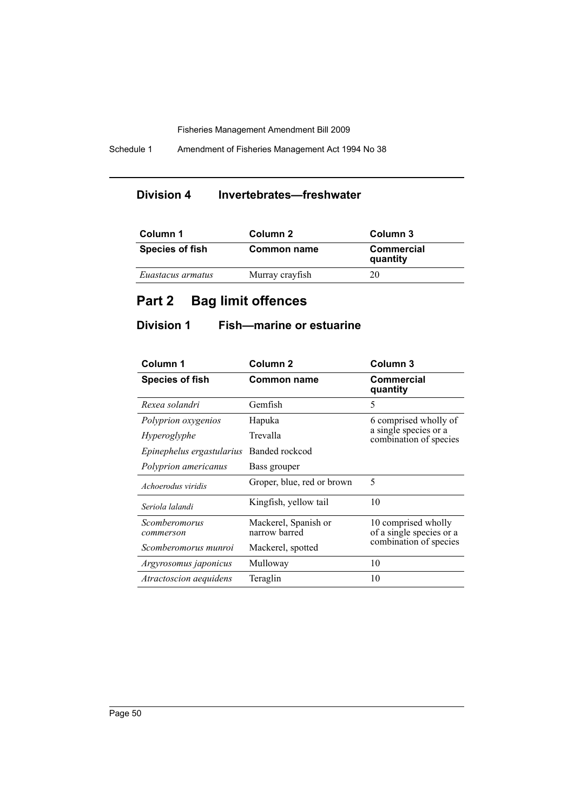Schedule 1 Amendment of Fisheries Management Act 1994 No 38

# **Division 4 Invertebrates—freshwater**

| Column 1               | Column 2        | Column 3                      |
|------------------------|-----------------|-------------------------------|
| <b>Species of fish</b> | Common name     | <b>Commercial</b><br>quantity |
| Euastacus armatus      | Murray crayfish | 20                            |

# **Part 2 Bag limit offences**

# **Division 1 Fish—marine or estuarine**

| Column 1                      | Column <sub>2</sub>                   | Column <sub>3</sub>                             |  |
|-------------------------------|---------------------------------------|-------------------------------------------------|--|
| <b>Species of fish</b>        | <b>Common name</b>                    | <b>Commercial</b><br>quantity                   |  |
| Rexea solandri                | Gemfish                               | 5                                               |  |
| Polyprion oxygenios           | Hapuka                                | 6 comprised wholly of                           |  |
| Hyperoglyphe                  | Trevalla                              | a single species or a<br>combination of species |  |
| Epinephelus ergastularius     | Banded rockcod                        |                                                 |  |
| Polyprion americanus          | Bass grouper                          |                                                 |  |
| Achoerodus viridis            | Groper, blue, red or brown            | 5                                               |  |
| Seriola lalandi               | Kingfish, yellow tail                 | 10                                              |  |
| Scomberomorus<br>commerson    | Mackerel, Spanish or<br>narrow barred | 10 comprised wholly<br>of a single species or a |  |
| Scomberomorus munroi          | Mackerel, spotted                     | combination of species                          |  |
| Argyrosomus japonicus         | Mulloway                              | 10                                              |  |
| <i>Atractoscion aequidens</i> | Teraglin                              | 10                                              |  |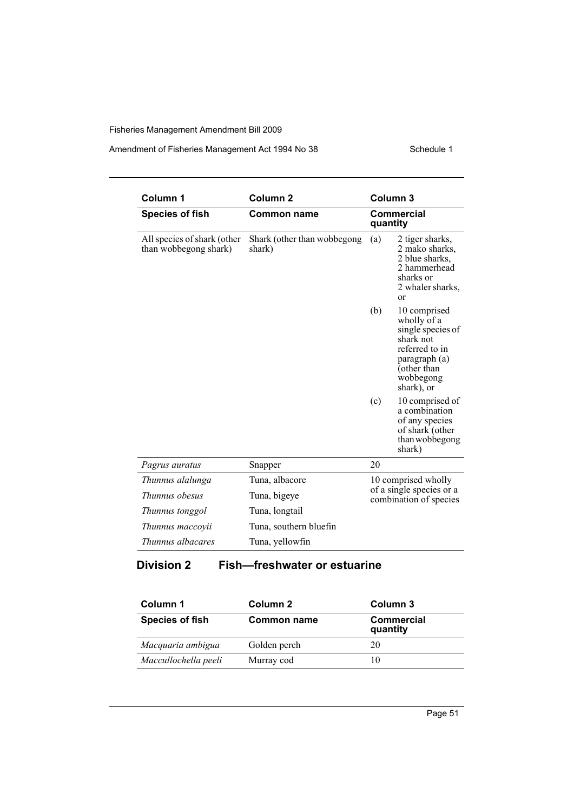# Amendment of Fisheries Management Act 1994 No 38 Schedule 1

| Column 1                                             | Column <sub>2</sub>                   | Column <sub>3</sub>                                                                                                                               |  |
|------------------------------------------------------|---------------------------------------|---------------------------------------------------------------------------------------------------------------------------------------------------|--|
| <b>Species of fish</b>                               | <b>Common name</b>                    | Commercial<br>quantity                                                                                                                            |  |
| All species of shark (other<br>than wobbegong shark) | Shark (other than wobbegong<br>shark) | 2 tiger sharks,<br>(a)<br>2 mako sharks,<br>2 blue sharks,<br>2 hammerhead<br>sharks or<br>2 whaler sharks,<br>or                                 |  |
|                                                      |                                       | (b)<br>10 comprised<br>wholly of a<br>single species of<br>shark not<br>referred to in<br>paragraph (a)<br>(other than<br>wobbegong<br>shark), or |  |
|                                                      |                                       | (c)<br>10 comprised of<br>a combination<br>of any species<br>of shark (other<br>than wobbegong<br>shark)                                          |  |
| Pagrus auratus                                       | Snapper                               | 20                                                                                                                                                |  |
| Thunnus alalunga                                     | Tuna, albacore                        | 10 comprised wholly<br>of a single species or a<br>combination of species                                                                         |  |
| Thunnus obesus                                       | Tuna, bigeye                          |                                                                                                                                                   |  |
| Thunnus tonggol                                      | Tuna, longtail                        |                                                                                                                                                   |  |
| Thunnus maccovii                                     | Tuna, southern bluefin                |                                                                                                                                                   |  |
| Thunnus albacares                                    | Tuna, yellowfin                       |                                                                                                                                                   |  |

# **Division 2 Fish—freshwater or estuarine**

| Column 1               | Column 2           | Column 3                      |
|------------------------|--------------------|-------------------------------|
| <b>Species of fish</b> | <b>Common name</b> | <b>Commercial</b><br>quantity |
| Macquaria ambigua      | Golden perch       | 20                            |
| Maccullochella peeli   | Murray cod         | 10                            |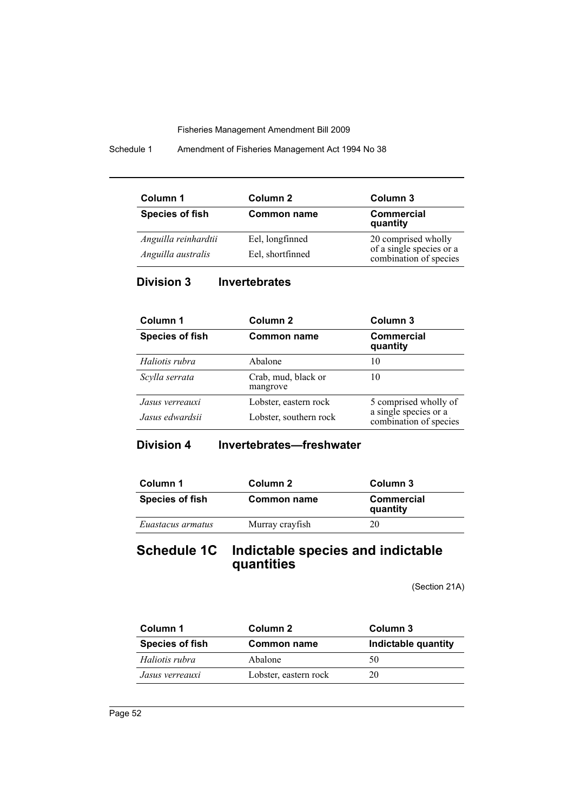Schedule 1 Amendment of Fisheries Management Act 1994 No 38

| Column 1               | Column 2           | Column 3                                           |
|------------------------|--------------------|----------------------------------------------------|
| <b>Species of fish</b> | <b>Common name</b> | <b>Commercial</b><br>quantity                      |
| Anguilla reinhardtii   | Eel, longfinned    | 20 comprised wholly                                |
| Anguilla australis     | Eel, shortfinned   | of a single species or a<br>combination of species |

**Division 3 Invertebrates**

| Column 1               | Column <sub>2</sub>             | Column 3                                        |
|------------------------|---------------------------------|-------------------------------------------------|
| <b>Species of fish</b> | <b>Common name</b>              | <b>Commercial</b><br>quantity                   |
| Haliotis rubra         | Abalone                         | 10                                              |
| Scylla serrata         | Crab, mud, black or<br>mangrove | 10                                              |
| Jasus verreauxi        | Lobster, eastern rock           | 5 comprised wholly of                           |
| Jasus edwardsii        | Lobster, southern rock          | a single species or a<br>combination of species |

**Division 4 Invertebrates—freshwater**

| Column 1               | Column 2        | Column 3                      |
|------------------------|-----------------|-------------------------------|
| <b>Species of fish</b> | Common name     | <b>Commercial</b><br>quantity |
| Euastacus armatus      | Murray crayfish | 20                            |

# **Schedule 1C Indictable species and indictable quantities**

(Section 21A)

| Column 1               | Column 2              | Column 3            |
|------------------------|-----------------------|---------------------|
| <b>Species of fish</b> | <b>Common name</b>    | Indictable quantity |
| Haliotis rubra         | Abalone               | 50                  |
| Jasus verreauxi        | Lobster, eastern rock | 20                  |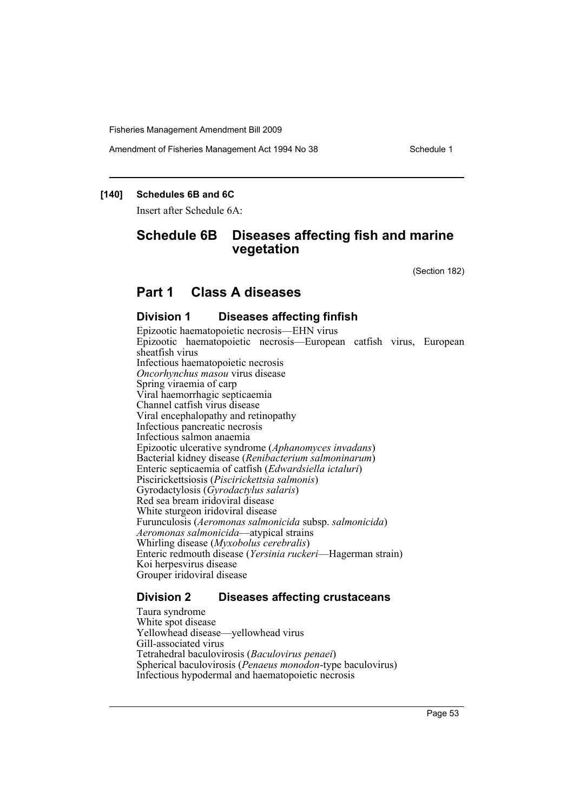Amendment of Fisheries Management Act 1994 No 38 Schedule 1

# **[140] Schedules 6B and 6C**

Insert after Schedule 6A:

# **Schedule 6B Diseases affecting fish and marine vegetation**

(Section 182)

# **Part 1 Class A diseases**

# **Division 1 Diseases affecting finfish**

Epizootic haematopoietic necrosis—EHN virus Epizootic haematopoietic necrosis—European catfish virus, European sheatfish virus Infectious haematopoietic necrosis *Oncorhynchus masou* virus disease Spring viraemia of carp Viral haemorrhagic septicaemia Channel catfish virus disease Viral encephalopathy and retinopathy Infectious pancreatic necrosis Infectious salmon anaemia Epizootic ulcerative syndrome (*Aphanomyces invadans*) Bacterial kidney disease (*Renibacterium salmoninarum*) Enteric septicaemia of catfish (*Edwardsiella ictaluri*) Piscirickettsiosis (*Piscirickettsia salmonis*) Gyrodactylosis (*Gyrodactylus salaris*) Red sea bream iridoviral disease White sturgeon iridoviral disease Furunculosis (*Aeromonas salmonicida* subsp. *salmonicida*) *Aeromonas salmonicida*—atypical strains Whirling disease (*Myxobolus cerebralis*) Enteric redmouth disease (*Yersinia ruckeri*—Hagerman strain) Koi herpesvirus disease Grouper iridoviral disease

# **Division 2 Diseases affecting crustaceans**

Taura syndrome White spot disease Yellowhead disease—yellowhead virus Gill-associated virus Tetrahedral baculovirosis (*Baculovirus penaei*) Spherical baculovirosis (*Penaeus monodon*-type baculovirus) Infectious hypodermal and haematopoietic necrosis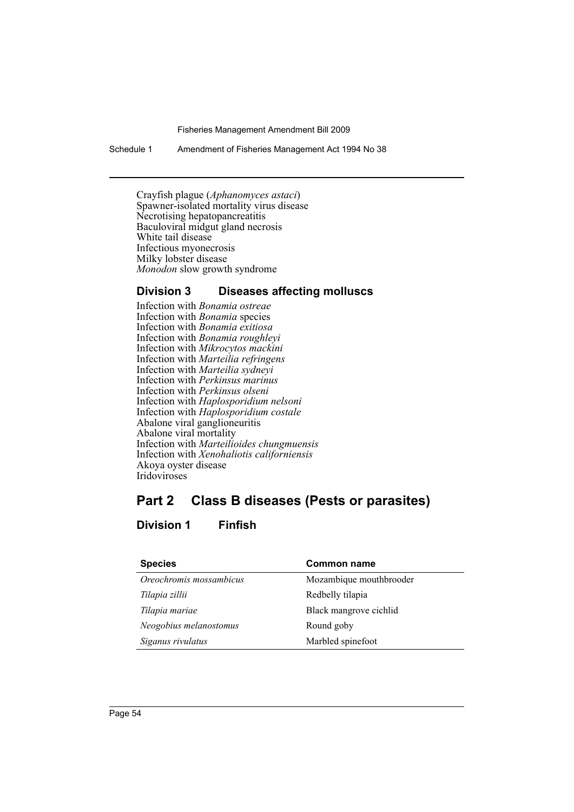Schedule 1 Amendment of Fisheries Management Act 1994 No 38

Crayfish plague (*Aphanomyces astaci*) Spawner-isolated mortality virus disease Necrotising hepatopancreatitis Baculoviral midgut gland necrosis White tail disease Infectious myonecrosis Milky lobster disease *Monodon* slow growth syndrome

# **Division 3 Diseases affecting molluscs**

Infection with *Bonamia ostreae* Infection with *Bonamia* species Infection with *Bonamia exitiosa* Infection with *Bonamia roughleyi* Infection with *Mikrocytos mackini* Infection with *Marteilia refringens* Infection with *Marteilia sydneyi* Infection with *Perkinsus marinus* Infection with *Perkinsus olseni* Infection with *Haplosporidium nelsoni* Infection with *Haplosporidium costale* Abalone viral ganglioneuritis Abalone viral mortality Infection with *Marteilioides chungmuensis* Infection with *Xenohaliotis californiensis* Akoya oyster disease Iridoviroses

# **Part 2 Class B diseases (Pests or parasites)**

# **Division 1 Finfish**

| <b>Species</b>          | <b>Common name</b>      |
|-------------------------|-------------------------|
| Oreochromis mossambicus | Mozambique mouthbrooder |
| Tilapia zillii          | Redbelly tilapia        |
| Tilapia mariae          | Black mangrove cichlid  |
| Neogobius melanostomus  | Round goby              |
| Siganus rivulatus       | Marbled spinefoot       |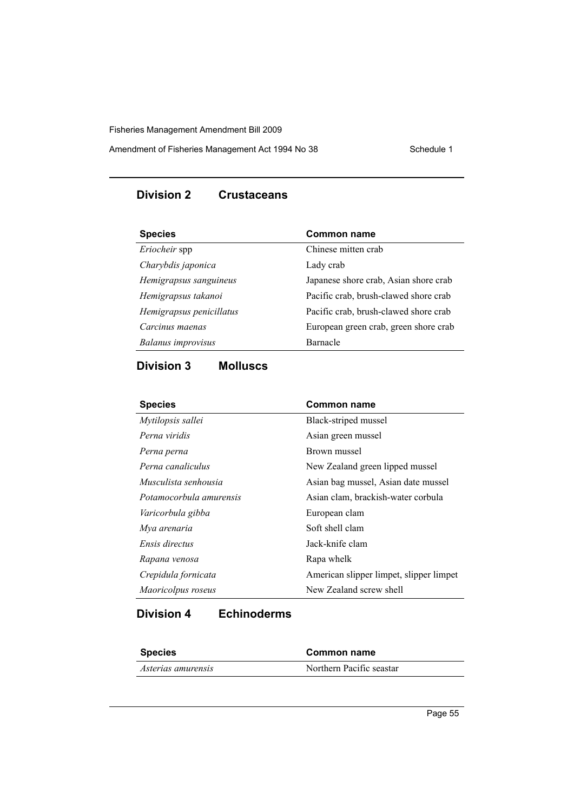Amendment of Fisheries Management Act 1994 No 38 Schedule 1

# **Division 2 Crustaceans**

| <b>Species</b>            | <b>Common name</b>                    |
|---------------------------|---------------------------------------|
| Eriocheir spp             | Chinese mitten crab                   |
| Charybdis japonica        | Lady crab                             |
| Hemigrapsus sanguineus    | Japanese shore crab, Asian shore crab |
| Hemigrapsus takanoi       | Pacific crab, brush-clawed shore crab |
| Hemigrapsus penicillatus  | Pacific crab, brush-clawed shore crab |
| Carcinus maenas           | European green crab, green shore crab |
| <b>Balanus</b> improvisus | Barnacle                              |
|                           |                                       |

# **Division 3 Molluscs**

| <b>Species</b>          | <b>Common name</b>                      |
|-------------------------|-----------------------------------------|
| Mytilopsis sallei       | Black-striped mussel                    |
| Perna viridis           | Asian green mussel                      |
| Perna perna             | Brown mussel                            |
| Perna canaliculus       | New Zealand green lipped mussel         |
| Musculista senhousia    | Asian bag mussel, Asian date mussel     |
| Potamocorbula amurensis | Asian clam, brackish-water corbula      |
| Varicorbula gibba       | European clam                           |
| Mya arenaria            | Soft shell clam                         |
| Ensis directus          | Jack-knife clam                         |
| Rapana venosa           | Rapa whelk                              |
| Crepidula fornicata     | American slipper limpet, slipper limpet |
| Maoricolpus roseus      | New Zealand screw shell                 |

# **Division 4 Echinoderms**

| <b>Species</b>     | Common name              |  |
|--------------------|--------------------------|--|
| Asterias amurensis | Northern Pacific seastar |  |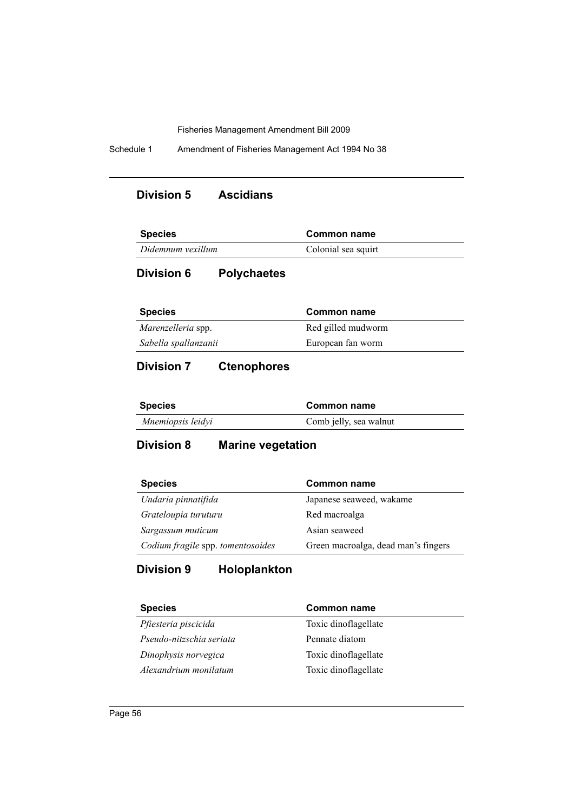Schedule 1 Amendment of Fisheries Management Act 1994 No 38

# **Division 5 Ascidians**

| <b>Species</b>    | Common name         |  |
|-------------------|---------------------|--|
| Didemnum vexillum | Colonial sea squirt |  |

# **Division 6 Polychaetes**

| <b>Species</b>            | Common name        |
|---------------------------|--------------------|
| <i>Marenzelleria</i> spp. | Red gilled mudworm |
| Sabella spallanzanii      | European fan worm  |

# **Division 7 Ctenophores**

| <b>Species</b>    | Common name            |  |
|-------------------|------------------------|--|
| Mnemiopsis leidyi | Comb jelly, sea walnut |  |

# **Division 8 Marine vegetation**

| <b>Species</b>                    | <b>Common name</b>                  |
|-----------------------------------|-------------------------------------|
| Undaria pinnatifida               | Japanese seaweed, wakame            |
| Grateloupia turuturu              | Red macroalga                       |
| Sargassum muticum                 | Asian seaweed                       |
| Codium fragile spp. tomentosoides | Green macroalga, dead man's fingers |

# **Division 9 Holoplankton**

| <b>Species</b>           | <b>Common name</b>   |
|--------------------------|----------------------|
| Pfiesteria piscicida     | Toxic dinoflagellate |
| Pseudo-nitzschia seriata | Pennate diatom       |
| Dinophysis norvegica     | Toxic dinoflagellate |
| Alexandrium monilatum    | Toxic dinoflagellate |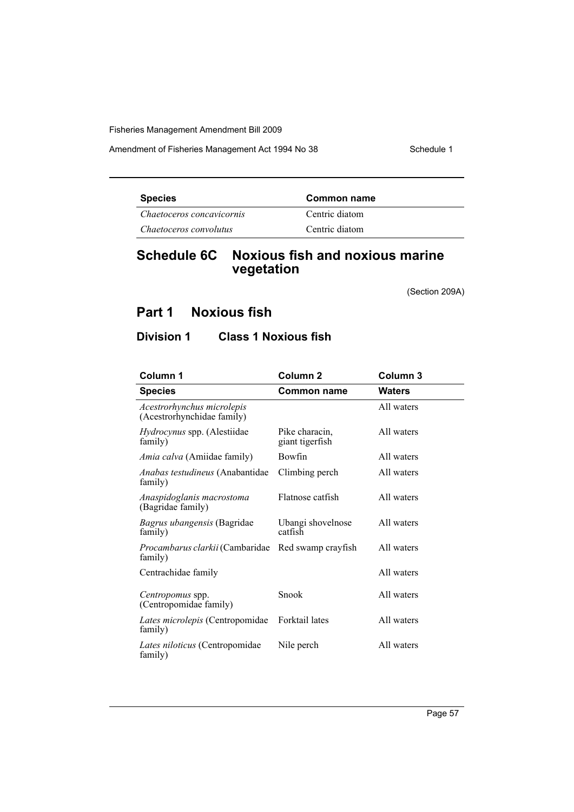Amendment of Fisheries Management Act 1994 No 38 Schedule 1

| <b>Species</b>            | Common name    |  |
|---------------------------|----------------|--|
| Chaetoceros concavicornis | Centric diatom |  |
| Chaetoceros convolutus    | Centric diatom |  |

# **Schedule 6C Noxious fish and noxious marine vegetation**

(Section 209A)

# **Part 1 Noxious fish**

# **Division 1 Class 1 Noxious fish**

| Column 1                                                 | Column <sub>2</sub>               | Column 3      |
|----------------------------------------------------------|-----------------------------------|---------------|
| <b>Species</b>                                           | Common name                       | <b>Waters</b> |
| Acestrorhynchus microlepis<br>(Acestrorhynchidae family) |                                   | All waters    |
| <i>Hydrocynus</i> spp. (Alestiidae<br>family)            | Pike characin,<br>giant tigerfish | All waters    |
| <i>Amia calva</i> (Amiidae family)                       | Bowfin                            | All waters    |
| Anabas testudineus (Anabantidae<br>family)               | Climbing perch                    | All waters    |
| Anaspidoglanis macrostoma<br>(Bagridae family)           | Flatnose catfish                  | All waters    |
| Bagrus ubangensis (Bagridae<br>family)                   | Ubangi shovelnose<br>catfish      | All waters    |
| Procambarus clarkii (Cambaridae<br>family)               | Red swamp crayfish                | All waters    |
| Centrachidae family                                      |                                   | All waters    |
| Centropomus spp.<br>(Centropomidae family)               | Snook                             | All waters    |
| Lates microlepis (Centropomidae<br>family)               | <b>Forktail</b> lates             | All waters    |
| Lates niloticus (Centropomidae<br>family)                | Nile perch                        | All waters    |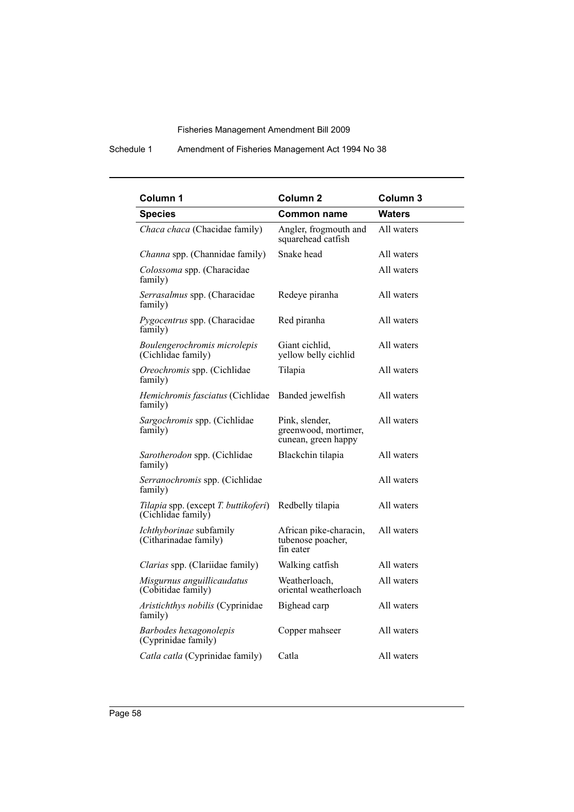# Schedule 1 Amendment of Fisheries Management Act 1994 No 38

| Column <sub>1</sub>                                        | Column <sub>2</sub>                                           | Column <sub>3</sub> |
|------------------------------------------------------------|---------------------------------------------------------------|---------------------|
| <b>Species</b>                                             | <b>Common name</b>                                            | <b>Waters</b>       |
| Chaca chaca (Chacidae family)                              | Angler, frogmouth and<br>squarehead catfish                   | All waters          |
| Channa spp. (Channidae family)                             | Snake head                                                    | All waters          |
| Colossoma spp. (Characidae<br>family)                      |                                                               | All waters          |
| Serrasalmus spp. (Characidae<br>family)                    | Redeye piranha                                                | All waters          |
| Pygocentrus spp. (Characidae<br>family)                    | Red piranha                                                   | All waters          |
| Boulengerochromis microlepis<br>(Cichlidae family)         | Giant cichlid,<br>yellow belly cichlid                        | All waters          |
| Oreochromis spp. (Cichlidae<br>family)                     | Tilapia                                                       | All waters          |
| Hemichromis fasciatus (Cichlidae<br>family)                | Banded jewelfish                                              | All waters          |
| Sargochromis spp. (Cichlidae<br>family)                    | Pink, slender,<br>greenwood, mortimer,<br>cunean, green happy | All waters          |
| Sarotherodon spp. (Cichlidae<br>family)                    | Blackchin tilapia                                             | All waters          |
| Serranochromis spp. (Cichlidae<br>family)                  |                                                               | All waters          |
| Tilapia spp. (except T. buttikoferi)<br>(Cichlidae family) | Redbelly tilapia                                              | All waters          |
| Ichthyborinae subfamily<br>(Citharinadae family)           | African pike-characin,<br>tubenose poacher,<br>fin eater      | All waters          |
| Clarias spp. (Clariidae family)                            | Walking catfish                                               | All waters          |
| Misgurnus anguillicaudatus<br>(Cobitidae family)           | Weatherloach,<br>oriental weatherloach                        | All waters          |
| Aristichthys nobilis (Cyprinidae<br>family)                | Bighead carp                                                  | All waters          |
| Barbodes hexagonolepis<br>(Cyprinidae family)              | Copper mahseer                                                | All waters          |
| Catla catla (Cyprinidae family)                            | Catla                                                         | All waters          |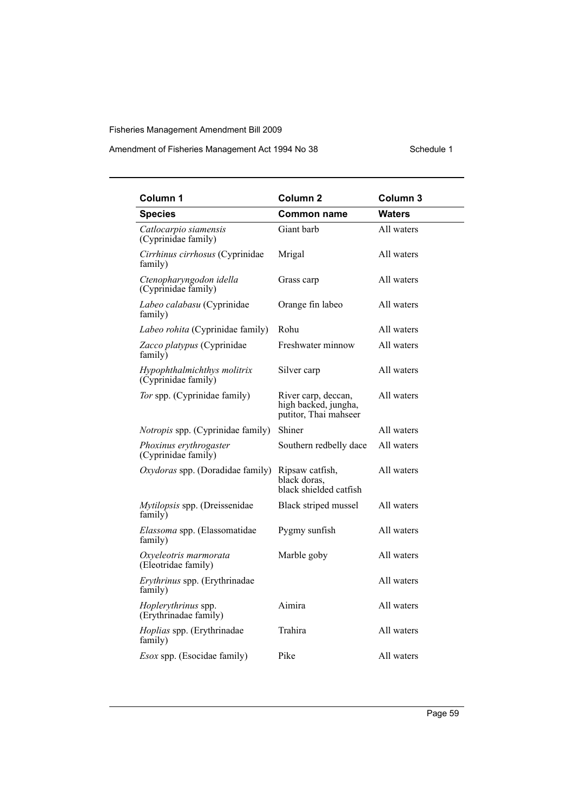# Amendment of Fisheries Management Act 1994 No 38 Schedule 1

| Column 1                                           | Column <sub>2</sub>                                                  | Column 3      |
|----------------------------------------------------|----------------------------------------------------------------------|---------------|
| <b>Species</b>                                     | <b>Common name</b>                                                   | <b>Waters</b> |
| Catlocarpio siamensis<br>(Cyprinidae family)       | Giant barb                                                           | All waters    |
| Cirrhinus cirrhosus (Cyprinidae<br>family)         | Mrigal                                                               | All waters    |
| Ctenopharyngodon idella<br>(Cyprinidae family)     | Grass carp                                                           | All waters    |
| Labeo calabasu (Cyprinidae<br>family)              | Orange fin labeo                                                     | All waters    |
| Labeo rohita (Cyprinidae family)                   | Rohu                                                                 | All waters    |
| Zacco platypus (Cyprinidae<br>family)              | Freshwater minnow                                                    | All waters    |
| Hypophthalmichthys molitrix<br>(Cyprinidae family) | Silver carp                                                          | All waters    |
| Tor spp. (Cyprinidae family)                       | River carp, deccan,<br>high backed, jungha,<br>putitor, Thai mahseer | All waters    |
| <i>Notropis</i> spp. (Cyprinidae family)           | Shiner                                                               | All waters    |
| Phoxinus erythrogaster<br>(Cyprinidae family)      | Southern redbelly dace                                               | All waters    |
| Oxydoras spp. (Doradidae family)                   | Ripsaw catfish,<br>black doras.<br>black shielded catfish            | All waters    |
| Mytilopsis spp. (Dreissenidae<br>family)           | Black striped mussel                                                 | All waters    |
| Elassoma spp. (Elassomatidae<br>family)            | Pygmy sunfish                                                        | All waters    |
| Oxyeleotris marmorata<br>(Eleotridae family)       | Marble goby                                                          | All waters    |
| Erythrinus spp. (Erythrinadae<br>family)           |                                                                      | All waters    |
| Hoplerythrinus spp.<br>(Erythrinadae family)       | Aimira                                                               | All waters    |
| Hoplias spp. (Erythrinadae<br>family)              | Trahira                                                              | All waters    |
| <i>Esox</i> spp. (Esocidae family)                 | Pike                                                                 | All waters    |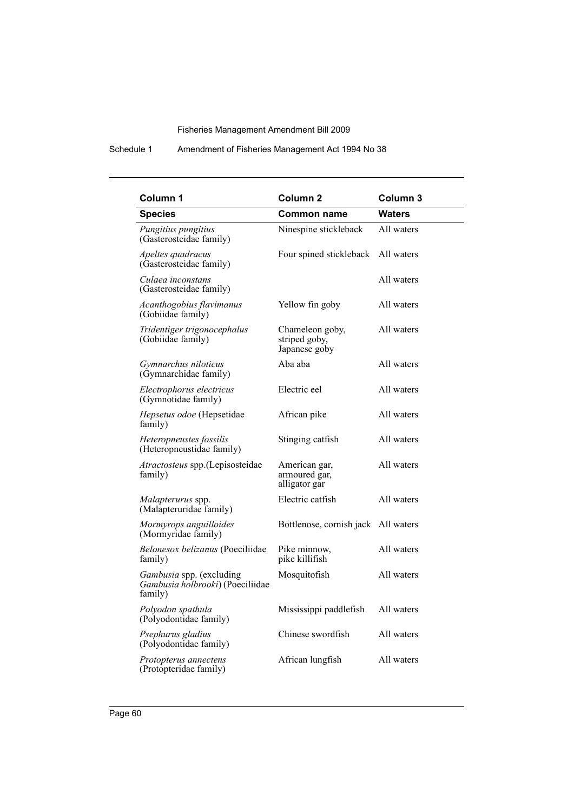# Schedule 1 Amendment of Fisheries Management Act 1994 No 38

| Column 1                                                                | Column <sub>2</sub>                               | Column 3      |
|-------------------------------------------------------------------------|---------------------------------------------------|---------------|
| <b>Species</b>                                                          | <b>Common name</b>                                | <b>Waters</b> |
| Pungitius pungitius<br>(Gasterosteidae family)                          | Ninespine stickleback                             | All waters    |
| Apeltes quadracus<br>(Gasterosteidae family)                            | Four spined stickleback                           | All waters    |
| Culaea inconstans<br>(Gasterosteidae family)                            |                                                   | All waters    |
| Acanthogobius flavimanus<br>(Gobiidae family)                           | Yellow fin goby                                   | All waters    |
| Tridentiger trigonocephalus<br>(Gobiidae family)                        | Chameleon goby,<br>striped goby,<br>Japanese goby | All waters    |
| Gymnarchus niloticus<br>(Gymnarchidae family)                           | Aba aba                                           | All waters    |
| Electrophorus electricus<br>(Gymnotidae family)                         | Electric eel                                      | All waters    |
| Hepsetus odoe (Hepsetidae<br>family)                                    | African pike                                      | All waters    |
| Heteropneustes fossilis<br>(Heteropneustidae family)                    | Stinging catfish                                  | All waters    |
| Atractosteus spp.(Lepisosteidae<br>family)                              | American gar,<br>armoured gar,<br>alligator gar   | All waters    |
| Malapterurus spp.<br>(Malapteruridae family)                            | Electric catfish                                  | All waters    |
| Mormyrops anguilloides<br>(Mormyridae family)                           | Bottlenose, cornish jack All waters               |               |
| Belonesox belizanus (Poeciliidae<br>family)                             | Pike minnow,<br>pike killifish                    | All waters    |
| Gambusia spp. (excluding<br>Gambusia holbrooki) (Poeciliidae<br>family) | Mosquitofish                                      | All waters    |
| Polyodon spathula<br>(Polyodontidae family)                             | Mississippi paddlefish                            | All waters    |
| Psephurus gladius<br>(Polyodontidae family)                             | Chinese swordfish                                 | All waters    |
| Protopterus annectens<br>(Protopteridae family)                         | African lungfish                                  | All waters    |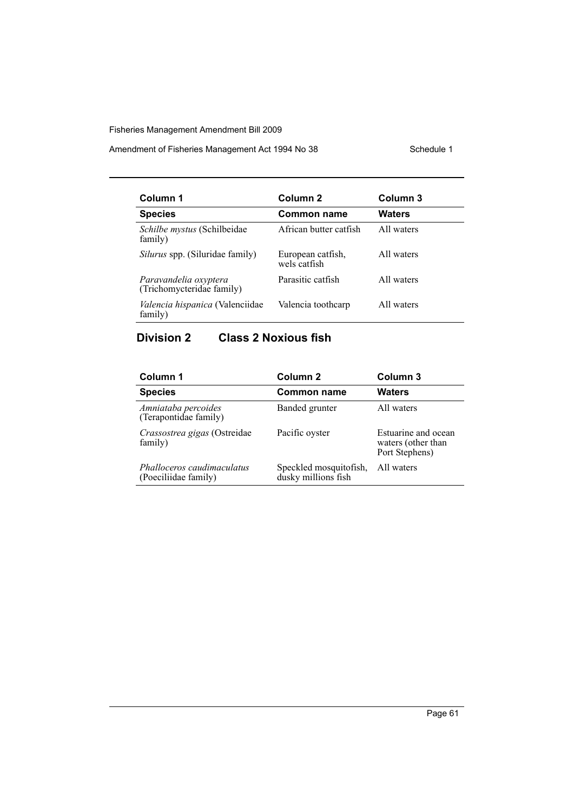Amendment of Fisheries Management Act 1994 No 38 Schedule 1

| Column 1                                           | Column <sub>2</sub>               | Column 3      |
|----------------------------------------------------|-----------------------------------|---------------|
| <b>Species</b>                                     | Common name                       | <b>Waters</b> |
| Schilbe mystus (Schilbeidae<br>family)             | African butter catfish            | All waters    |
| Silurus spp. (Siluridae family)                    | European catfish,<br>wels catfish | All waters    |
| Paravandelia oxyptera<br>(Trichomycteridae family) | Parasitic catfish                 | All waters    |
| <i>Valencia hispanica</i> (Valenciidae<br>family)  | Valencia toothcarp                | All waters    |

# **Division 2 Class 2 Noxious fish**

| Column 1                                           | Column 2                                      | Column 3                                                    |
|----------------------------------------------------|-----------------------------------------------|-------------------------------------------------------------|
| <b>Species</b>                                     | <b>Common name</b>                            | Waters                                                      |
| Amniataba percoides<br>(Terapontidae family)       | Banded grunter                                | All waters                                                  |
| Crassostrea gigas (Ostreidae<br>family)            | Pacific oyster                                | Estuarine and ocean<br>waters (other than<br>Port Stephens) |
| Phalloceros caudimaculatus<br>(Poeciliidae family) | Speckled mosquitofish,<br>dusky millions fish | All waters                                                  |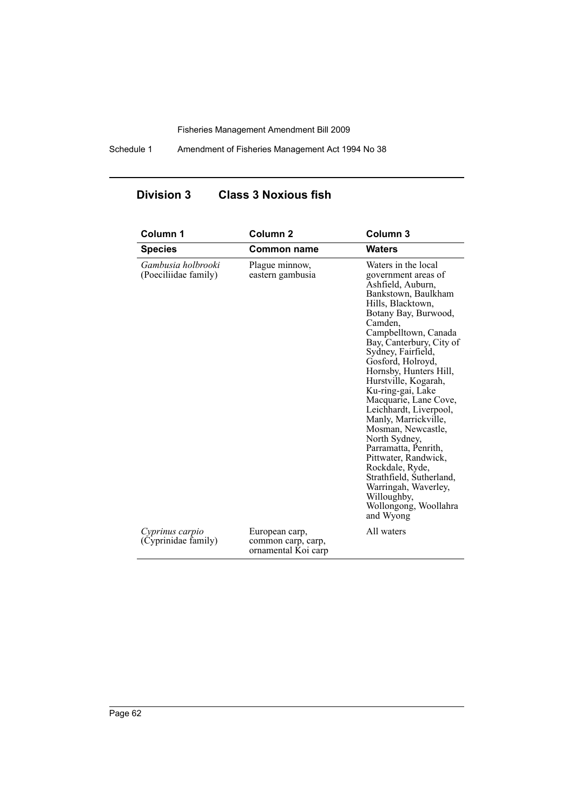Schedule 1 Amendment of Fisheries Management Act 1994 No 38

# **Division 3 Class 3 Noxious fish**

| Column 1                                   | Column <sub>2</sub>                                         | Column 3                                                                                                                                                                                                                                                                                                                                                                                                                                                                                                                                                                                                           |
|--------------------------------------------|-------------------------------------------------------------|--------------------------------------------------------------------------------------------------------------------------------------------------------------------------------------------------------------------------------------------------------------------------------------------------------------------------------------------------------------------------------------------------------------------------------------------------------------------------------------------------------------------------------------------------------------------------------------------------------------------|
| <b>Species</b>                             | <b>Common name</b>                                          | <b>Waters</b>                                                                                                                                                                                                                                                                                                                                                                                                                                                                                                                                                                                                      |
| Gambusia holbrooki<br>(Poeciliidae family) | Plague minnow,<br>eastern gambusia                          | Waters in the local<br>government areas of<br>Ashfield, Auburn,<br>Bankstown, Baulkham<br>Hills, Blacktown,<br>Botany Bay, Burwood,<br>Camden.<br>Campbelltown, Canada<br>Bay, Canterbury, City of<br>Sydney, Fairfield,<br>Gosford, Holroyd,<br>Hornsby, Hunters Hill,<br>Hurstville, Kogarah,<br>Ku-ring-gai, Lake<br>Macquarie, Lane Cove,<br>Leichhardt, Liverpool,<br>Manly, Marrickville,<br>Mosman, Newcastle,<br>North Sydney,<br>Parramatta, Penrith,<br>Pittwater, Randwick,<br>Rockdale, Ryde,<br>Strathfield, Sutherland,<br>Warringah, Waverley,<br>Willoughby,<br>Wollongong, Woollahra<br>and Wyong |
| Cyprinus carpio<br>(Cyprinidae family)     | European carp,<br>common carp, carp,<br>ornamental Koi carp | All waters                                                                                                                                                                                                                                                                                                                                                                                                                                                                                                                                                                                                         |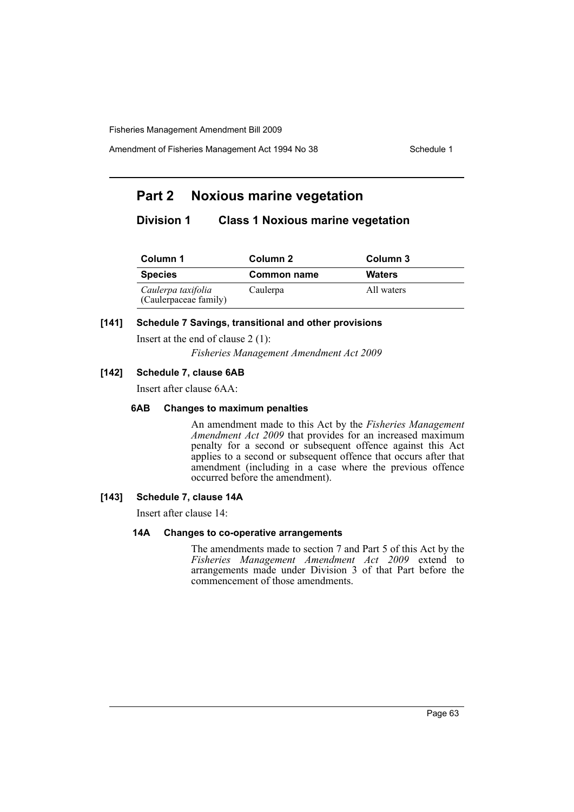Amendment of Fisheries Management Act 1994 No 38 Schedule 1

# **Part 2 Noxious marine vegetation**

# **Division 1 Class 1 Noxious marine vegetation**

| Column 1                                    | Column 2    | Column 3      |  |
|---------------------------------------------|-------------|---------------|--|
| <b>Species</b>                              | Common name | <b>Waters</b> |  |
| Caulerpa taxifolia<br>(Caulerpaceae family) | Caulerpa    | All waters    |  |

# **[141] Schedule 7 Savings, transitional and other provisions**

Insert at the end of clause 2 (1):

*Fisheries Management Amendment Act 2009*

# **[142] Schedule 7, clause 6AB**

Insert after clause 6AA:

#### **6AB Changes to maximum penalties**

An amendment made to this Act by the *Fisheries Management Amendment Act 2009* that provides for an increased maximum penalty for a second or subsequent offence against this Act applies to a second or subsequent offence that occurs after that amendment (including in a case where the previous offence occurred before the amendment).

# **[143] Schedule 7, clause 14A**

Insert after clause 14:

#### **14A Changes to co-operative arrangements**

The amendments made to section 7 and Part 5 of this Act by the *Fisheries Management Amendment Act 2009* extend to arrangements made under Division 3 of that Part before the commencement of those amendments.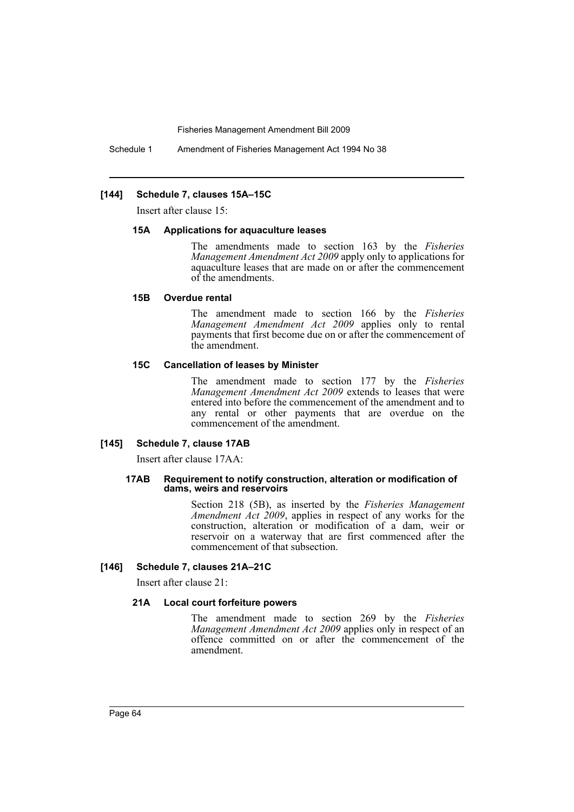Schedule 1 Amendment of Fisheries Management Act 1994 No 38

#### **[144] Schedule 7, clauses 15A–15C**

Insert after clause 15:

#### **15A Applications for aquaculture leases**

The amendments made to section 163 by the *Fisheries Management Amendment Act 2009* apply only to applications for aquaculture leases that are made on or after the commencement of the amendments.

#### **15B Overdue rental**

The amendment made to section 166 by the *Fisheries Management Amendment Act 2009* applies only to rental payments that first become due on or after the commencement of the amendment.

#### **15C Cancellation of leases by Minister**

The amendment made to section 177 by the *Fisheries Management Amendment Act 2009* extends to leases that were entered into before the commencement of the amendment and to any rental or other payments that are overdue on the commencement of the amendment.

#### **[145] Schedule 7, clause 17AB**

Insert after clause 17AA:

#### **17AB Requirement to notify construction, alteration or modification of dams, weirs and reservoirs**

Section 218 (5B), as inserted by the *Fisheries Management Amendment Act 2009*, applies in respect of any works for the construction, alteration or modification of a dam, weir or reservoir on a waterway that are first commenced after the commencement of that subsection.

#### **[146] Schedule 7, clauses 21A–21C**

Insert after clause 21:

#### **21A Local court forfeiture powers**

The amendment made to section 269 by the *Fisheries Management Amendment Act 2009* applies only in respect of an offence committed on or after the commencement of the amendment.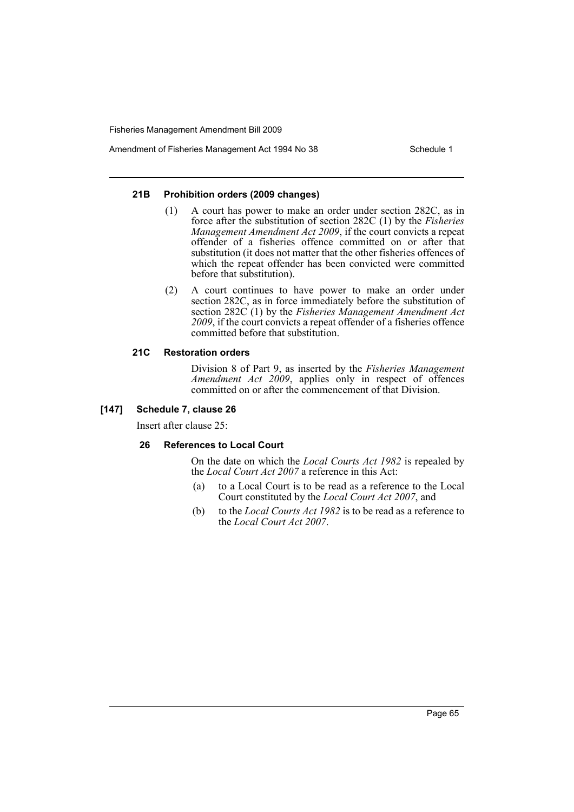Amendment of Fisheries Management Act 1994 No 38 Schedule 1

#### **21B Prohibition orders (2009 changes)**

- (1) A court has power to make an order under section 282C, as in force after the substitution of section 282C (1) by the *Fisheries Management Amendment Act 2009*, if the court convicts a repeat offender of a fisheries offence committed on or after that substitution (it does not matter that the other fisheries offences of which the repeat offender has been convicted were committed before that substitution).
- (2) A court continues to have power to make an order under section 282C, as in force immediately before the substitution of section 282C (1) by the *Fisheries Management Amendment Act 2009*, if the court convicts a repeat offender of a fisheries offence committed before that substitution.

# **21C Restoration orders**

Division 8 of Part 9, as inserted by the *Fisheries Management Amendment Act 2009*, applies only in respect of offences committed on or after the commencement of that Division.

# **[147] Schedule 7, clause 26**

Insert after clause 25:

# **26 References to Local Court**

On the date on which the *Local Courts Act 1982* is repealed by the *Local Court Act 2007* a reference in this Act:

- (a) to a Local Court is to be read as a reference to the Local Court constituted by the *Local Court Act 2007*, and
- (b) to the *Local Courts Act 1982* is to be read as a reference to the *Local Court Act 2007*.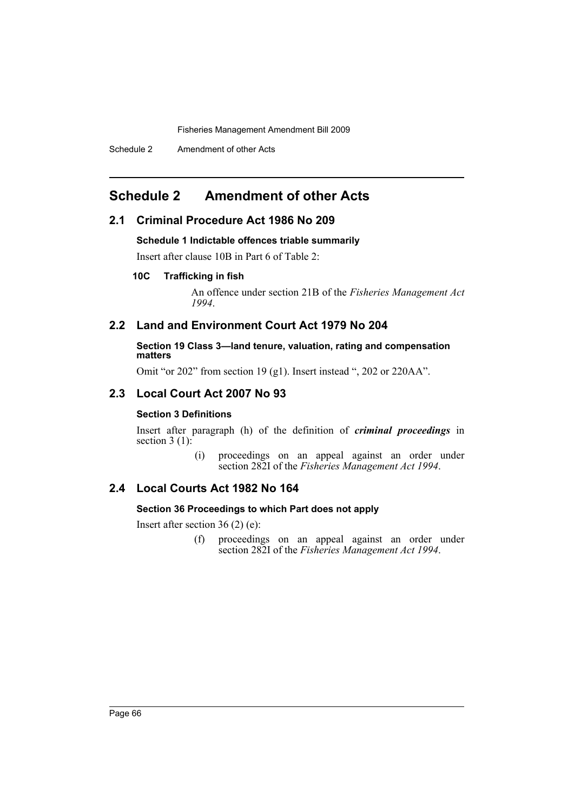# <span id="page-67-0"></span>**Schedule 2 Amendment of other Acts**

# **2.1 Criminal Procedure Act 1986 No 209**

### **Schedule 1 Indictable offences triable summarily**

Insert after clause 10B in Part 6 of Table 2:

# **10C Trafficking in fish**

An offence under section 21B of the *Fisheries Management Act 1994*.

# **2.2 Land and Environment Court Act 1979 No 204**

**Section 19 Class 3—land tenure, valuation, rating and compensation matters**

Omit "or 202" from section 19 (g1). Insert instead ", 202 or 220AA".

# **2.3 Local Court Act 2007 No 93**

# **Section 3 Definitions**

Insert after paragraph (h) of the definition of *criminal proceedings* in section  $3(1)$ :

> (i) proceedings on an appeal against an order under section 282I of the *Fisheries Management Act 1994*.

# **2.4 Local Courts Act 1982 No 164**

#### **Section 36 Proceedings to which Part does not apply**

Insert after section 36 (2) (e):

(f) proceedings on an appeal against an order under section 282I of the *Fisheries Management Act 1994*.